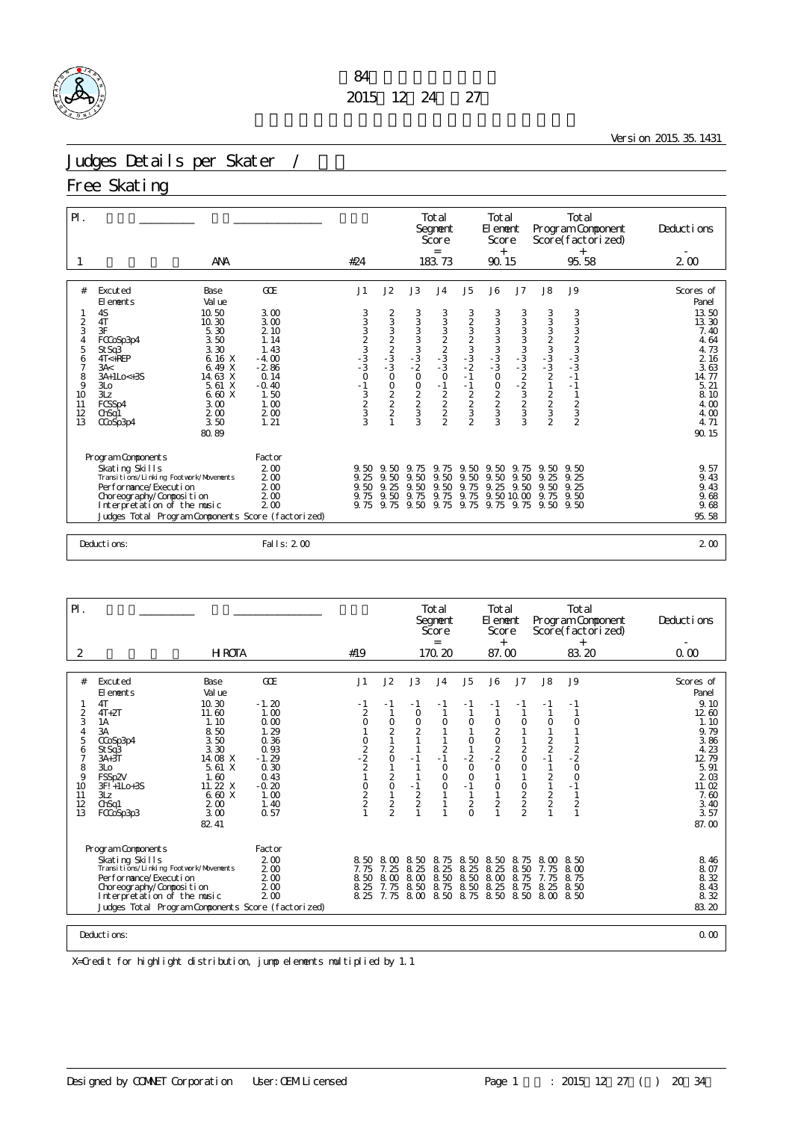

Version 2015.35.1431

# Judges Details per Skater / 2009 - 1999 - 1999 - 1999 - 1999 - 1999 - 1999 - 1999 - 1999 - 1999 - 1999 - 1999 - 1999 - 1999 - 1999 - 1999 - 1999 - 1999 - 1999 - 1999 - 1999 - 1999 - 1999 - 1999 - 1999 - 1999 - 1999 - 1999

## Free Skating

| $\mathsf{Pl}$ .                                              |                                                                                                                                                                                                                                                                                                                                          |                                                                                                                      |                                                                 |                                                                                      |                                                               | Total<br>Segment<br>Score<br>$=$                                                        |                                                                                                | Total<br>El ement<br>Score<br>$+$          |                                                                                                                    |                                      | <b>Total</b><br>Program Component<br>Score(factorized)<br>$^{+}$                                                        | Deductions                                                                                                                             |
|--------------------------------------------------------------|------------------------------------------------------------------------------------------------------------------------------------------------------------------------------------------------------------------------------------------------------------------------------------------------------------------------------------------|----------------------------------------------------------------------------------------------------------------------|-----------------------------------------------------------------|--------------------------------------------------------------------------------------|---------------------------------------------------------------|-----------------------------------------------------------------------------------------|------------------------------------------------------------------------------------------------|--------------------------------------------|--------------------------------------------------------------------------------------------------------------------|--------------------------------------|-------------------------------------------------------------------------------------------------------------------------|----------------------------------------------------------------------------------------------------------------------------------------|
|                                                              | <b>ANA</b>                                                                                                                                                                                                                                                                                                                               |                                                                                                                      | #24                                                             |                                                                                      |                                                               | 183.73                                                                                  |                                                                                                | 90.15                                      |                                                                                                                    |                                      | 95.58                                                                                                                   | 200                                                                                                                                    |
| #<br>2<br>3<br>4<br>5<br>6<br>8<br>9<br>10<br>11<br>12<br>13 | <b>Excuted</b><br>Base<br>Val ue<br>El ements<br>4S<br>10.50<br>$4\bar{1}$<br>10.30<br>3F<br>5.30<br>3.50<br>FCCoSp3p4<br>3.30<br>St Sq3<br>$4T < +REP$<br>6.16 X<br>6.49 X<br>34<<br>14.63 X<br>$3A+1Lo < +3S$<br>5.61 X<br>3L <sub>O</sub><br>3Lz<br>6.60 X<br>3.00<br>FCSSp4<br>200<br>Ch <sub>Sq1</sub><br>3.50<br>CCoSp3p4<br>80.89 | GOE<br>3.00<br>3.00<br>2.10<br>1.14<br>1.43<br>$-4.00$<br>$-2.86$<br>0.14<br>$-0.40$<br>1.50<br>1.00<br>2.00<br>1.21 | J1<br>ده ده ده ده ده<br>3<br>3<br>$0 - 1$<br>$32$<br>$3$<br>$3$ | J2<br>$2$<br>$3$<br>$3$<br>$2$<br>$3$<br>$3$<br>$3$<br>$\circ$<br>$\frac{0}{2}$<br>2 | J3<br>3<br>3<br>3<br>3<br>3<br>2<br>2<br>$0002$<br>$203$<br>3 | J <sub>4</sub><br>3<br>3<br>3<br>3<br>3<br>3<br>$0 - 1$<br>$2$<br>$2$<br>$\overline{2}$ | J <sub>5</sub><br>$32323$<br>$-332$<br>$-1$<br>$\frac{1}{2}$<br>$\frac{2}{3}$<br>$\frac{3}{2}$ | J6<br>333333333333<br>3                    | J <sub>7</sub><br>3<br>3<br>3<br>2<br>3<br>2<br>3<br>2<br>3<br>2<br>3<br>3<br>3<br>3<br>3<br>3<br>3<br>3<br>3<br>3 | <b>J8</b><br>333233212232            | <b>J9</b><br>3<br>3<br>3<br>3<br>3<br>3<br>$-1$<br>$-1$<br>$\mathbf{1}$<br>$\begin{array}{c}\n2 \\ 3 \\ 2\n\end{array}$ | Scores of<br>Panel<br>13.50<br>13.30<br>7.40<br>4.64<br>4.73<br>2.16<br>3.63<br>14.77<br>5.21<br>8.10<br>4.00<br>4.00<br>4.71<br>90.15 |
|                                                              | Program Components<br>Skating Skills<br>Transi ti ons/Li nki ng Footvork/Movements<br>Performance/Execution<br>Choreography/Composition<br>Interpretation of the music<br>Judges Total Program Components Score (factorized)<br>Deductions:                                                                                              | Factor<br>2.00<br>$2\omega$<br>2.00<br>$2\omega$<br>2.00<br>Fall s: 2 00                                             | 9.50<br>9.25<br>9.50<br>9.75<br>9.75                            | 9.50<br>9.50<br>9.25<br>9.50<br>9.75                                                 | 9.75<br>9.50<br>9.50<br>9.75<br>9.50                          | 9.75<br>9.50<br>9.50<br>9.75<br>9.75                                                    | 9.50<br>9.50<br>9.75<br>9.75<br>9.75                                                           | 9.50<br>9.50<br>9.25<br>9.50 10.00<br>9.75 | 9.75<br>9.50<br>9.50<br>9.75                                                                                       | 9.50<br>9.25<br>9.50<br>9.75<br>9.50 | 9.50<br>9.25<br>9.25<br>9.50<br>9.50                                                                                    | 9.57<br>9.43<br>9.43<br>9.68<br>9.68<br>95.58<br>200                                                                                   |

| $^{+}$<br>=<br><b>H ROTA</b><br>87.00<br>2<br>#19<br>170.20                                                                                                                                                                                                                                                                                                                                                                                                                                                                                                                                                                                                                                                                                                                                                                                                                                                                                                                                                                                                                                                                                                                                                                                                                                                                                                                                                                                                                                                                                            | $^{+}$<br>83.20<br>0.00                                                                                                                                                                                                                                        |
|--------------------------------------------------------------------------------------------------------------------------------------------------------------------------------------------------------------------------------------------------------------------------------------------------------------------------------------------------------------------------------------------------------------------------------------------------------------------------------------------------------------------------------------------------------------------------------------------------------------------------------------------------------------------------------------------------------------------------------------------------------------------------------------------------------------------------------------------------------------------------------------------------------------------------------------------------------------------------------------------------------------------------------------------------------------------------------------------------------------------------------------------------------------------------------------------------------------------------------------------------------------------------------------------------------------------------------------------------------------------------------------------------------------------------------------------------------------------------------------------------------------------------------------------------------|----------------------------------------------------------------------------------------------------------------------------------------------------------------------------------------------------------------------------------------------------------------|
|                                                                                                                                                                                                                                                                                                                                                                                                                                                                                                                                                                                                                                                                                                                                                                                                                                                                                                                                                                                                                                                                                                                                                                                                                                                                                                                                                                                                                                                                                                                                                        |                                                                                                                                                                                                                                                                |
| J8<br>GOE<br>J1<br>J2<br>J3<br>J <sub>5</sub><br>J7<br>J <sub>4</sub><br>J6<br>#<br><b>Excuted</b><br>Base<br>Val ue<br>El ements<br>10.30<br>4T<br>$-1.20$<br>$-1$<br>$-1$<br>$-1$<br>$-1$<br>- 1<br>$-1$<br>$-1$<br>- 1<br>$\overline{\mathbf{c}}$<br>$\overline{2}$<br>$4T + 2T$<br>1.00<br>11.60<br>$\circ$<br>$\mathbf{1}$<br>3<br>$\begin{matrix} 0 \\ 2 \\ 1 \end{matrix}$<br>$\circ$<br>0.00<br>$\circ$<br>$\circ$<br>$\circ$<br>$\circ$<br>$\circ$<br>$\circ$<br>1.10<br>1A<br>$\overline{c}$<br>$\begin{array}{c} 2 \\ 0 \\ 2 \\ -2 \\ 0 \end{array}$<br>$\mathbf{1}$<br>3A<br>8.50<br>1.29<br>4<br>$\mathbf{1}$<br>$\frac{2}{2}$<br>-1<br>$\mathbf 0$<br>$\mathbf{1}$<br>5<br>3.<br>50<br>0.36<br>0222<br>CCoSp3p4<br>$\frac{2}{0}$<br>$^2_{\rm O}$<br>$\frac{2}{1}$<br>30<br>0.93<br>3.<br>6<br>St Sq3<br>$\frac{2}{0}$<br>$3A+3T$<br>14.08 X<br>$-1.29$<br>$-1$<br>7<br>$\mathsf O$<br>$\frac{1}{2}$<br>8<br>0.30<br>$\mathbf{1}$<br>$\circ$<br>3L <sub>O</sub><br>5.61X<br>0.43<br>$\overline{2}$<br>$\circ$<br>$\mathbf{1}$<br>9<br>$\circ$<br>$\mathbf{1}$<br>FSSp2V<br>1.60<br>$\frac{0}{2}$<br>$\begin{array}{c} 1 \\ 2 \\ 2 \end{array}$<br>11.22 X<br>$-0.20$<br>$\begin{array}{c}\n0 \\ 2 \\ 2\n\end{array}$<br>$\circ$<br>$-1$<br>$-1$<br>$\circ$<br>3F! +1Lo+3S<br>0<br>10<br>$\frac{2}{2}$<br>3Lz<br>1.00<br>$\mathbf{1}$<br>6.60 X<br>1<br>11<br>$\frac{2}{2}$<br>$\overline{\mathbf{c}}$<br>$\overline{c}$<br>12<br>200<br>1.40<br>Ch <sub>Sq1</sub><br>$\Omega$<br>13<br>3.00<br>0.57<br>$\mathbf{1}$<br>FCCoSp3p3<br>82.41 | <b>J9</b><br>Scores of<br>Panel<br>9.10<br>- 1<br>12.60<br>$\circ$<br>1.10<br>9.79<br>$\mathbf{1}$<br>3.86<br>$-2$<br>$-2$<br>0<br>4.23<br>12.79<br>5.91<br>$\circ$<br>2.03<br>$-1$<br>11.02<br>$\mathbf{1}$<br>7.60<br>$\frac{2}{1}$<br>3.40<br>3.57<br>87.00 |
| Program Components<br>Factor<br>200<br>Skating Skills<br>8.<br>50<br>8<br>75<br>8.50<br>8.50<br>8<br>75<br>8.00<br>8.50<br>8.<br>$\infty$<br>Transi ti ons/Li nki ng Footvork/Movements<br>2.00<br>25<br>25<br>25<br>25<br>8.25<br>8.50<br>7.75<br>7.<br>8<br>8<br>8<br>7.75<br>2.00<br>Performance/Execution<br>8.50<br>8.00<br>8.00<br>8.50<br>850<br>8.00<br>8.75<br>7.75<br>8.25<br>8.50<br>25<br>Choreography/Composition<br>$2\omega$<br>7.75<br>8.50<br>8<br>75<br>8.<br>8<br>75<br>8.25<br>2.00<br>8.25<br>8.50<br>Interpretation of the music<br>7. 75<br>8.00<br>8.50<br>8.75<br>8.50<br>8.00<br>Judges Total Program Components Score (factorized)<br>Deductions:                                                                                                                                                                                                                                                                                                                                                                                                                                                                                                                                                                                                                                                                                                                                                                                                                                                                           | 8.46<br>8.50<br>8.07<br>8.00<br>8.32<br>8.75<br>8.43<br>8.50<br>8.32<br>8.50<br>83.20<br>0.00                                                                                                                                                                  |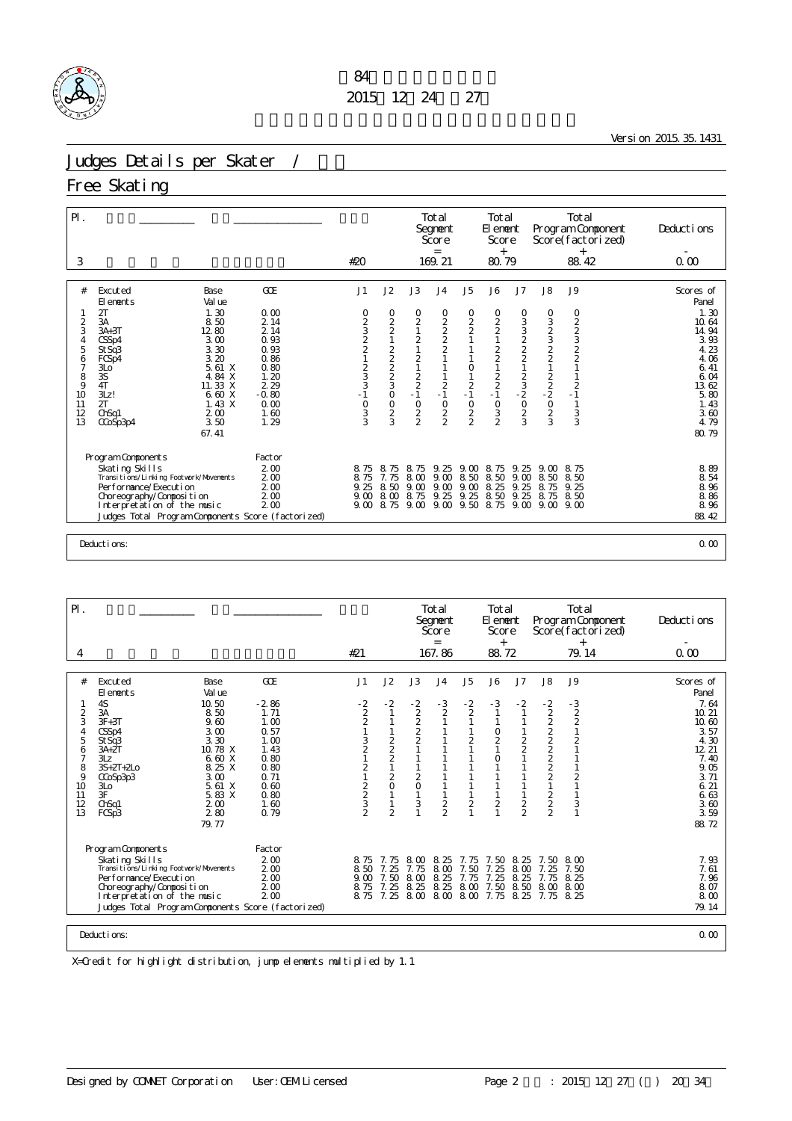

Version 2015.35.1431

# Judges Details per Skater / 2009 - 1999 - 1999 - 1999 - 1999 - 1999 - 1999 - 1999 - 1999 - 1999 - 1999 - 1999 - 1999 - 1999 - 1999 - 1999 - 1999 - 1999 - 1999 - 1999 - 1999 - 1999 - 1999 - 1999 - 1999 - 1999 - 1999 - 1999

## Free Skating

| $\mathsf{PI}$ .                                                           |                                                                                                                                                                                                                                                                                                             |                                                                                                                |                                                                                       |                                                        |                                                                                             | Total<br>Segnent<br>Score<br>$=$                                                                                 |                                                                                                                                        | Total<br>El ement<br>Score<br>$^{+}$                                                                                                                                                                                                                  |                                                           |                                           | <b>Total</b><br>Program Component<br>Score(factorized)<br>$^{+}$                           | Deductions                                                                                                                             |
|---------------------------------------------------------------------------|-------------------------------------------------------------------------------------------------------------------------------------------------------------------------------------------------------------------------------------------------------------------------------------------------------------|----------------------------------------------------------------------------------------------------------------|---------------------------------------------------------------------------------------|--------------------------------------------------------|---------------------------------------------------------------------------------------------|------------------------------------------------------------------------------------------------------------------|----------------------------------------------------------------------------------------------------------------------------------------|-------------------------------------------------------------------------------------------------------------------------------------------------------------------------------------------------------------------------------------------------------|-----------------------------------------------------------|-------------------------------------------|--------------------------------------------------------------------------------------------|----------------------------------------------------------------------------------------------------------------------------------------|
| 3                                                                         |                                                                                                                                                                                                                                                                                                             |                                                                                                                | #20                                                                                   |                                                        |                                                                                             | 169.21                                                                                                           |                                                                                                                                        | 80.79                                                                                                                                                                                                                                                 |                                                           |                                           | 88.42                                                                                      | 0.00                                                                                                                                   |
| #<br>$\overline{c}$<br>3<br>4<br>5<br>6<br>8<br>9<br>10<br>11<br>12<br>13 | <b>Excuted</b><br>Base<br>El ements<br>Val ue<br>2T<br>1.30<br>3A<br>8.50<br>$3A+3T$<br>12 80<br>3.00<br>CSSp4<br>3.30<br>St Sq3<br>3.20<br>FCSp4<br>5.61X<br>3L <sub>O</sub><br>$3\!$<br>4.84 X<br>4T<br>11.33 X<br>3Lz!<br>6.60 X<br>2T<br>1.43X<br>Ch <sub>Sq1</sub><br>200<br>3.50<br>CCoSp3p4<br>67.41 | GOE<br>0.00<br>2.14<br>2.14<br>0.93<br>0.93<br>0.86<br>0.80<br>1.20<br>2.29<br>$-0.80$<br>0.00<br>1.60<br>1.29 | $\overline{11}$<br>0<br>2322<br>$\frac{2}{3}$<br>$\frac{3}{1}$<br>$_{3}^{\rm O}$<br>3 | J2<br>0<br>221222230<br>$\circ$<br>$\overline{2}$<br>3 | J3<br>0<br>$\frac{2}{1}$<br>$2121$<br>$122$<br>$21$<br>$^{\rm O}_{\rm 2}$<br>$\mathfrak{D}$ | J <sub>4</sub><br>02222<br>$\mathbf{1}$<br>$\mathbf{1}$<br>$\frac{2}{1}$<br>$^{\rm O}_{\rm 2}$<br>$\mathfrak{D}$ | J <sub>5</sub><br>$\circ$<br>$\frac{2}{2}$<br>1<br>$\mathbf{1}$<br>$\mathbf{1}$<br>$\mathsf O$<br>$\frac{1}{2}$<br>-1<br>$\frac{0}{2}$ | J6<br>$0 2 2 1 2 2 1 2 2 1 2 2 1 2 2 1 2 2 1 2 2 1 2 2 1 2 2 1 2 2 1 2 2 1 2 2 1 2 2 1 2 2 2 1 2 2 2 1 2 2 2 1 2 2 2 1 2 2 2 1 2 2 2 1 2 2 2 1 2 2 2 1 2 2 2 1 2 2 2 1 2 2 2 1 2 2 2 1 2 2 2 1 2 2 2 1 2 2 2 1 2 2 2 1 2 2 2 1 2 2 $<br>$\frac{0}{3}$ | J7<br>0<br>3<br>3<br>2<br>2<br>2<br>3<br>2<br>3<br>2<br>3 | J8<br>0323221<br>$22 - 20$<br>$20$<br>$3$ | <b>J9</b><br>0<br>223221<br>$\mathbf{1}$<br>$\frac{2}{1}$<br>$\mathbf{1}$<br>$\frac{3}{3}$ | Scores of<br>Panel<br>1.30<br>10.64<br>14.94<br>3.93<br>4.23<br>4.06<br>6.41<br>6.04<br>13.62<br>5.80<br>1.43<br>3.60<br>4.79<br>80.79 |
|                                                                           | Program Components<br>Skating Skills<br>Transi ti ons/Li nki ng Footvork/Movements<br>Performance/Execution<br>Choreography/Composition<br>Interpretation of the music<br>Judges Total Program Components Score (factorized)                                                                                | Factor<br>2.00<br>$2\omega$<br>$2\omega$<br>2.00<br>$2\omega$                                                  | 8.75<br>8.75<br>9.25<br>9.00<br>9.00                                                  | 8<br>-75<br>7.75<br>8.50<br>8 <sub>0</sub><br>8.75     | 8.<br>75<br>8.00<br>9.00<br>8.<br>75<br>9.00                                                | 9.25<br>9.00<br>9.00<br>9.25<br>9.00                                                                             | 9.00<br>850<br>9.00<br>9.25<br>9.50                                                                                                    | 8.75<br>8<br>50<br>25<br>8<br>8.50<br>8.75                                                                                                                                                                                                            | 9.<br>25<br>9.00<br>25<br>9.<br>25<br>9.<br>9.00          | 9.00<br>8.50<br>8.<br>75<br>8.75<br>9.00  | 8.75<br>8.50<br>9.25<br>8.50<br>9.00                                                       | 8.89<br>8.54<br>8.96<br>8.86<br>8.96<br>88.42                                                                                          |
|                                                                           | Deductions:                                                                                                                                                                                                                                                                                                 |                                                                                                                |                                                                                       |                                                        |                                                                                             |                                                                                                                  |                                                                                                                                        |                                                                                                                                                                                                                                                       |                                                           |                                           |                                                                                            | 0.00                                                                                                                                   |

| $\mathsf{P}$ .                                                           |                                                                                                                                                                                                                                                                                                                                    |                                                                                                                |                                                                                                                                                      |                                                                                                                                                |                                                                                              | Total<br>Segnent<br>Score<br>$=$                                                           |                                                                          | Total<br>El ement<br>Score<br>$+$                    |                                              |                                             | Total<br>Program Component<br>Score(factorized)                                                               | Deductions                                                                                                                             |
|--------------------------------------------------------------------------|------------------------------------------------------------------------------------------------------------------------------------------------------------------------------------------------------------------------------------------------------------------------------------------------------------------------------------|----------------------------------------------------------------------------------------------------------------|------------------------------------------------------------------------------------------------------------------------------------------------------|------------------------------------------------------------------------------------------------------------------------------------------------|----------------------------------------------------------------------------------------------|--------------------------------------------------------------------------------------------|--------------------------------------------------------------------------|------------------------------------------------------|----------------------------------------------|---------------------------------------------|---------------------------------------------------------------------------------------------------------------|----------------------------------------------------------------------------------------------------------------------------------------|
| 4                                                                        |                                                                                                                                                                                                                                                                                                                                    |                                                                                                                | #21                                                                                                                                                  |                                                                                                                                                |                                                                                              | 167.86                                                                                     |                                                                          | 88.72                                                |                                              |                                             | $^{+}$<br>79.14                                                                                               | 0.00                                                                                                                                   |
| #<br>$\frac{2}{3}$<br>4<br>5<br>6<br>7<br>8<br>9<br>10<br>11<br>12<br>13 | <b>Excuted</b><br>Base<br>Val ue<br>El ements<br>4S<br>10.50<br>3A<br>8.50<br>9.60<br>$3F+3T$<br>3.00<br>CSSp4<br>3.30<br>St Sg <sub>3</sub><br>10.78 X<br>$3A+2T$<br>3Lz<br>6.60 X<br>8.25 X<br>$3S+2T+2L0$<br>3.00<br>CCoSp3p3<br>5.61 X<br>3L <sub>O</sub><br>3F<br>5.83 X<br>200<br>Ch <sub>Sq1</sub><br>280<br>FCSp3<br>79.77 | GOE<br>$-2.86$<br>1.71<br>1.00<br>0.57<br>1.00<br>1.43<br>0.80<br>0.80<br>0.71<br>0.60<br>0.80<br>1.60<br>0.79 | J1<br>$\frac{-2}{2}$<br>$\begin{array}{c} 1 \\ 3 \\ 2 \end{array}$<br>$\mathbf{1}$<br>$\overline{a}$<br>$\begin{array}{c}\n2 \\ 2 \\ 3\n\end{array}$ | J2<br>$-2$<br>$\mathbf{1}$<br>$\mathbf{1}$<br>$\mathbf{1}$<br>$\frac{2}{2}$<br>$\mathbf{1}$<br>$\overline{c}$<br>$\circ$<br>1<br>$\mathcal{P}$ | J3<br>$-2$<br>$2$<br>$2$<br>$2$<br>$2$<br>$\overline{c}$<br>$\mathbf 0$<br>$\mathbf{1}$<br>3 | J <sub>4</sub><br>$\frac{3}{2}$<br>$\mathbf{1}$<br>1<br>$\mathbf{1}$<br>1<br>$\frac{2}{2}$ | J <sub>5</sub><br>$\frac{-2}{2}$<br>1<br>$\overline{c}$<br>$\frac{2}{1}$ | J6<br>$-3$<br>$\rm _2^0$<br>$\circ$<br>$\frac{2}{1}$ | J7<br>$-2$<br>$\frac{2}{2}$<br>$\frac{2}{2}$ | J8<br>$-2$<br>2222222<br>1<br>$\frac{2}{2}$ | <b>J9</b><br>$-3$<br>22121<br>$\mathbf{1}$<br>$\mathbf{1}$<br>$\overline{c}$<br>$\mathbf{1}$<br>$\frac{3}{1}$ | Scores of<br>Panel<br>7.64<br>10.21<br>10.60<br>3.57<br>4.30<br>12 21<br>7.40<br>9.05<br>3.71<br>6.21<br>6.63<br>3.60<br>3.59<br>88.72 |
|                                                                          | Program Components<br>Skating Skills<br>Transi ti ons/Li nki ng Footvork/Movements<br>Performance/Execution<br>Choreography/Composition<br>Interpretation of the music<br>Judges Total Program Components Score (factorized)                                                                                                       | Factor<br>$2\omega$<br>$2\omega$<br>$2\omega$<br>$2\omega$<br>$2\omega$                                        | 8.75<br>8.50<br>9.00<br>8.75<br>8.75                                                                                                                 | 7.75<br>25<br>7.50<br>7.25<br>7.25                                                                                                             | 8.00<br>75<br>8.00<br>8.25<br>8.00                                                           | 8.25<br>8.00<br>8.25<br>8.25                                                               | 7.75<br>7.50<br>7.75<br>8.00                                             | 7.50<br>25<br>25<br>7.<br>7.50<br>8.00 8.00 7.75     | 8.25<br>8.00<br>8.25<br>8.50<br>8.25         | 7.50<br>25<br>7.75<br>8.00<br>7.75          | 8.00<br>7.50<br>8.25<br>8.00<br>8.25                                                                          | 7.93<br>7.61<br>7.96<br>8.07<br>8.00<br>79.14                                                                                          |
|                                                                          | Deductions:                                                                                                                                                                                                                                                                                                                        |                                                                                                                |                                                                                                                                                      |                                                                                                                                                |                                                                                              |                                                                                            |                                                                          |                                                      |                                              |                                             |                                                                                                               | 0.00                                                                                                                                   |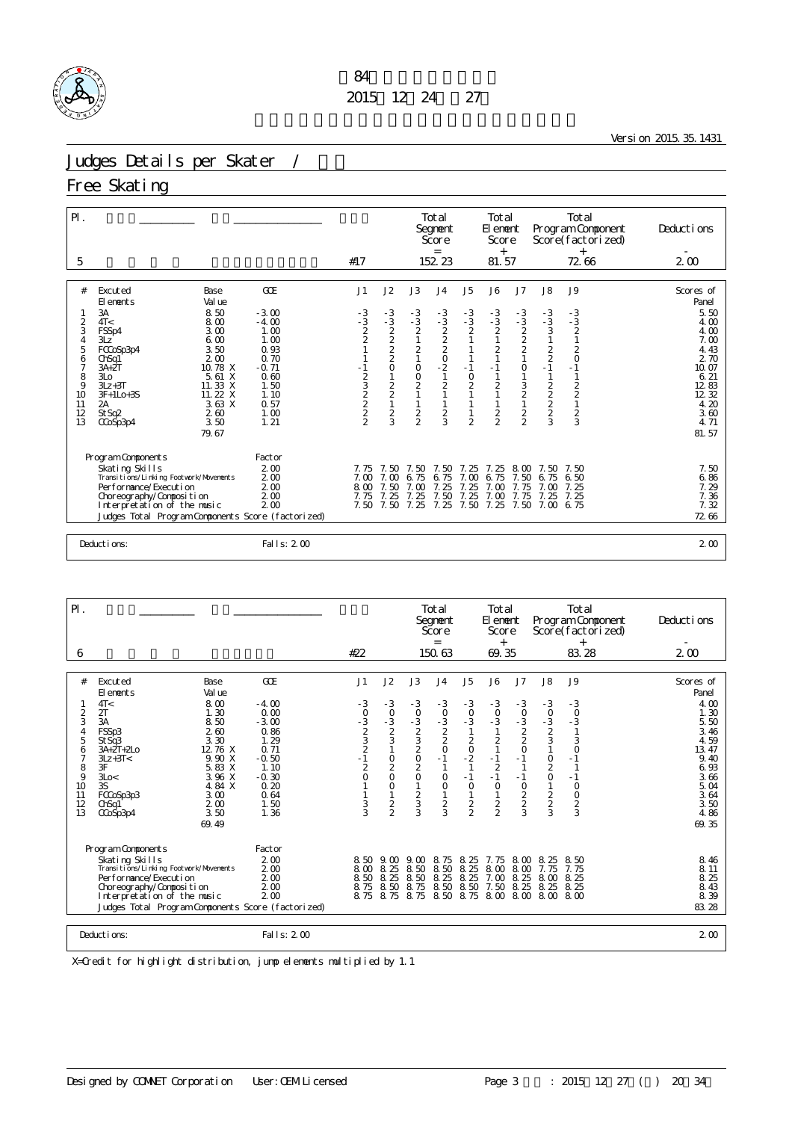

Version 2015.35.1431

# Judges Details per Skater / 2009 - 1999 - 1999 - 1999 - 1999 - 1999 - 1999 - 1999 - 1999 - 1999 - 1999 - 1999 - 1999 - 1999 - 1999 - 1999 - 1999 - 1999 - 1999 - 1999 - 1999 - 1999 - 1999 - 1999 - 1999 - 1999 - 1999 - 1999

## Free Skating

| 81.57<br>72.66<br>5<br>#17<br>152.23<br>200<br><b>GOE</b><br>J2<br>J3<br>J5<br>J7<br>J8<br><b>J9</b><br>J1<br>J <sub>4</sub><br>J6<br><b>Excuted</b><br>Base<br>#<br>El ements<br>Val ue<br>3A<br>8.50<br>$\begin{array}{r} -3 \\ -3 \\ 2 \\ 2 \\ 1 \end{array}$<br>$-3$<br>$-3$<br>$2$<br>$2$<br>$2$<br>$2$<br>O<br>$-3$<br>$-3$<br>2<br>1<br>2<br>1<br>$-3$<br>$-3$<br>$2$<br>$2$<br>$0$<br>$-2$<br>$-3$<br>$-3$<br>$2$<br>$1$<br>$-3$<br>$-3$<br>$2$<br>$1$<br>$2$<br>$1$<br>$-3$<br>$-3$<br>$2$<br>$2$<br>$2$<br>$1$<br>$-3$<br>$-3$<br>$-3$<br>$-3$<br>$-2$<br>$-1$<br>$-3$<br>$-3$<br>2<br>1<br>$-3.00$<br>8.00<br>$\overline{c}$<br>4T <<br>$-4.00$<br>3<br>3.00<br>1.00<br>FSSp4<br>6.00<br>1.00<br>3Lz<br>4<br>$\frac{2}{0}$<br>3.50<br>0.93<br>5<br>FCCoSp3p4<br>200<br>0.70<br>Ch <sub>Sq1</sub><br>6<br>$\mathsf O$<br>$-1$<br>$\circ$<br>10.78 X<br>$-1$<br>$3A+2T$<br>$-0.71$<br>$-1$<br>$-1$<br>232222<br>$\frac{0}{2}$<br>$\begin{array}{c} 1 \\ 2 \\ 1 \end{array}$<br>1321<br>$\begin{array}{c} 1 \\ 2 \\ 1 \end{array}$<br>$\begin{matrix} 0 \\ 2 \\ 1 \end{matrix}$<br>5.61X<br>0.60<br>$\mathbf{1}$<br>$\frac{1}{2}$ $\frac{2}{2}$ $\frac{2}{2}$<br>$\mathbf{1}$<br>8<br>3L <sub>O</sub><br>$\frac{2}{2}$<br>$\begin{array}{c}\n2 \\ 2 \\ 1\n\end{array}$<br>$3Lz + 3T$<br>9<br>11.33 X<br>1.50<br>$3F+1Lo+3S$<br>11. 22 X<br>1.10<br>10<br>3.63X<br>$\mathbf{1}$<br>$\mathbf{1}$<br>$\mathbf{1}$<br>0.57<br>2A<br>11<br>$\overline{a}$<br>$\overline{2}$<br>$\frac{2}{2}$<br>$\overline{2}$<br>$\frac{2}{2}$<br>$\frac{2}{3}$<br>2.60<br>12<br>St Sq2<br>1.00<br>$\overline{2}$<br>3<br>3<br>3<br>$\overline{2}$<br>3.50<br>1.21<br>13<br>CCoSp3p4<br>79.67<br>Program Components<br>Factor<br>Skating Skills<br>200<br>8.00<br>7.50<br>7.50<br>7.50<br>7.25<br>7.25<br>7.50<br>7.50<br>7.75<br>Transi ti ons/Li nki ng Footvork/Movements<br>$2\omega$<br>6.75<br>6.75<br>6.75<br>7.50<br>6.75<br>6.50<br>7 <sub>m</sub><br>$7 \Omega$<br>7.00<br>$2\omega$<br>Performance/Execution<br>7.50<br>$7 \Omega$<br>7.25<br>25<br>7.00<br>7.75<br>8 <sub>0</sub><br>7.<br>7.00<br>7.25<br>2.00<br>25<br>Choreography/Composition<br>7.25<br>25<br>7.50<br>7.00<br>7.75<br>7.25<br>7.75<br>7.<br>7.25<br>7.<br>$2\omega$<br>7.25<br>7.50<br>7.25<br>Interpretation of the music<br>7.50<br>7.50<br>7.25<br>7.50<br>7.00<br>6.75<br>Judges Total Program Components Score (factorized) | $\mathsf{P}$ . |  |  | Total<br>Segnent<br>Score<br>$=$ | Total<br>El ement<br>Score<br>$+$ |  | Tot al<br>Program Component<br>Score(factorized)<br>$^{+}$ | Deductions                                                                                                                             |
|-------------------------------------------------------------------------------------------------------------------------------------------------------------------------------------------------------------------------------------------------------------------------------------------------------------------------------------------------------------------------------------------------------------------------------------------------------------------------------------------------------------------------------------------------------------------------------------------------------------------------------------------------------------------------------------------------------------------------------------------------------------------------------------------------------------------------------------------------------------------------------------------------------------------------------------------------------------------------------------------------------------------------------------------------------------------------------------------------------------------------------------------------------------------------------------------------------------------------------------------------------------------------------------------------------------------------------------------------------------------------------------------------------------------------------------------------------------------------------------------------------------------------------------------------------------------------------------------------------------------------------------------------------------------------------------------------------------------------------------------------------------------------------------------------------------------------------------------------------------------------------------------------------------------------------------------------------------------------------------------------------------------------------------------------------------------------------------------------------------------------------------------------------------------------------------------------------------------------------------------------------------------------------------------------------------------------------------------------------------------------------------------------------|----------------|--|--|----------------------------------|-----------------------------------|--|------------------------------------------------------------|----------------------------------------------------------------------------------------------------------------------------------------|
|                                                                                                                                                                                                                                                                                                                                                                                                                                                                                                                                                                                                                                                                                                                                                                                                                                                                                                                                                                                                                                                                                                                                                                                                                                                                                                                                                                                                                                                                                                                                                                                                                                                                                                                                                                                                                                                                                                                                                                                                                                                                                                                                                                                                                                                                                                                                                                                                       |                |  |  |                                  |                                   |  |                                                            |                                                                                                                                        |
|                                                                                                                                                                                                                                                                                                                                                                                                                                                                                                                                                                                                                                                                                                                                                                                                                                                                                                                                                                                                                                                                                                                                                                                                                                                                                                                                                                                                                                                                                                                                                                                                                                                                                                                                                                                                                                                                                                                                                                                                                                                                                                                                                                                                                                                                                                                                                                                                       |                |  |  |                                  |                                   |  |                                                            | Scores of<br>Panel<br>5.50<br>4.00<br>4.00<br>7.00<br>4.43<br>2.70<br>10.07<br>6.21<br>12 83<br>12 32<br>4.20<br>3.60<br>4.71<br>81.57 |
| Deductions:<br>Fall s: 200                                                                                                                                                                                                                                                                                                                                                                                                                                                                                                                                                                                                                                                                                                                                                                                                                                                                                                                                                                                                                                                                                                                                                                                                                                                                                                                                                                                                                                                                                                                                                                                                                                                                                                                                                                                                                                                                                                                                                                                                                                                                                                                                                                                                                                                                                                                                                                            |                |  |  |                                  |                                   |  |                                                            | 7.50<br>6.86<br>7.29<br>7.36<br>7.32<br>72 66<br>200                                                                                   |

| $\mathsf{P}$ .                                                    |                                                                                                                                                                                                                                                                                                        |                                                                                                                         |                                                                               |                                                                                                                                 |                                                                          | Total<br>Segnent<br>Score<br>$=$                                                                                               |                                                                                                        | Total<br>El ement<br>Score<br>$+$                                                                                                        |                                                                                      |                                                                                                                                        | <b>Total</b><br>Program Component<br>Score(factorized)<br>$^{+}$                                                                                 | Deductions                                                                                                                  |
|-------------------------------------------------------------------|--------------------------------------------------------------------------------------------------------------------------------------------------------------------------------------------------------------------------------------------------------------------------------------------------------|-------------------------------------------------------------------------------------------------------------------------|-------------------------------------------------------------------------------|---------------------------------------------------------------------------------------------------------------------------------|--------------------------------------------------------------------------|--------------------------------------------------------------------------------------------------------------------------------|--------------------------------------------------------------------------------------------------------|------------------------------------------------------------------------------------------------------------------------------------------|--------------------------------------------------------------------------------------|----------------------------------------------------------------------------------------------------------------------------------------|--------------------------------------------------------------------------------------------------------------------------------------------------|-----------------------------------------------------------------------------------------------------------------------------|
| 6                                                                 |                                                                                                                                                                                                                                                                                                        |                                                                                                                         | #22                                                                           |                                                                                                                                 |                                                                          | 150.63                                                                                                                         |                                                                                                        | 69.35                                                                                                                                    |                                                                                      |                                                                                                                                        | 83.28                                                                                                                                            | 200                                                                                                                         |
| #<br>2<br>3<br>4<br>5<br>6<br>7<br>8<br>9<br>10<br>11<br>12<br>13 | <b>Excuted</b><br>Base<br>Val ue<br>El ements<br>8.00<br>4T <<br>2T<br>1.30<br>8.50<br>3A<br>260<br>FSSp3<br>3.30<br>St Sq3<br>12 76 X<br>$3A+2T+2L0$<br>9.90 X<br>$3Lz + 3T <$<br>5.83 X<br>3F<br>3Lo<<br>3.96 X<br>4.84 X<br>3S<br>FCCoSp3p3<br>3.00<br>200<br>Ch <sub>Sq1</sub><br>3.50<br>CCoSp3p4 | GOE<br>$-4.00$<br>0.00<br>$-3.00$<br>0.86<br>1.29<br>0.71<br>$-0.50$<br>1.10<br>$-0.30$<br>0.20<br>0.64<br>1.50<br>1.36 | J1<br>$-3$<br>$0 - 3$<br>$2 - 3$<br>$2 - 1$<br>$\frac{2}{0}$<br>$\frac{3}{3}$ | J2<br>$-3$<br>$-3$<br>$-3$<br>$-3$<br>$-3$<br>$1$<br>$\begin{matrix} 0 \\ 2 \\ 0 \end{matrix}$<br>$\circ$<br>1<br>$\frac{2}{2}$ | J3<br>$-3$<br>0<br>2<br>2<br>2<br>2<br>2<br>2<br>0<br>1<br>$\frac{2}{3}$ | J <sub>4</sub><br>$-3$<br>$\frac{0}{2}$<br>$\frac{3}{2}$<br>$0$<br>$-1$<br>$\circ$<br>$\circ$<br>$\mathbf{1}$<br>$\frac{2}{3}$ | J <sub>5</sub><br>$-3$<br>$0 - 3$<br>$120$<br>$-2$<br>$-1$<br>$\circ$<br>$\mathbf{1}$<br>$\frac{2}{2}$ | J6<br>$-3$<br>$\begin{smallmatrix}0\\-3\end{smallmatrix}$<br>$\frac{2}{1}$<br>$-1$<br>$\overline{2}$<br>$-1$<br>$\circ$<br>$\frac{2}{2}$ | J7<br>$-3$<br>$-3$<br>$-2$<br>$-1$<br>$-1$<br>$-1$<br>$\frac{0}{2}$<br>$\frac{2}{3}$ | J8<br>$-3$<br>$rac{0}{2}$<br>$rac{3}{3}$<br>$\mathbf{1}$<br>$\begin{matrix} 0 \\ 2 \\ 0 \end{matrix}$<br>$\mathbf{1}$<br>$\frac{2}{3}$ | <b>J9</b><br>$-3$<br>$\circ$<br>$-3$<br>$\begin{array}{c} 1 \\ 3 \\ 0 \end{array}$<br>$-1$<br>$\overline{1}$<br>$-1$<br>$\circ$<br>$\frac{0}{2}$ | Scores of<br>Panel<br>4.00<br>1.30<br>5.50<br>3.46<br>4.59<br>13.47<br>9.40<br>6.93<br>3.66<br>5.04<br>3.64<br>3.50<br>4.86 |
|                                                                   | 69.49<br>Program Components<br>Skating Skills<br>Transi ti ons/Li nki ng Footvork/Movements<br>Performance/Execution<br>Choreography/Composition<br>Interpretation of the music<br>Judges Total Program Components Score (factorized)                                                                  | Factor<br>$2\omega$<br>$2\omega$<br>$2\omega$<br>2.00<br>$2\omega$                                                      | 8.50<br>8 <sub>0</sub><br>8.50<br>8.75<br>8.75                                | 9.<br>$\infty$<br>8<br>25<br>25<br>8<br>8.50<br>75<br>8                                                                         | 9<br>$\infty$<br>8<br>50<br>8.<br>50<br>8.<br>75<br>75<br>8.             | 8<br>75<br>8<br>50<br>25<br>8<br>8.50<br>8.50                                                                                  | 8<br>25<br>25<br>8<br>25<br>8<br>50<br>8<br>8<br>75                                                    | 7.75<br>8.<br>$\infty$<br>7.00<br>7.50<br>8.00                                                                                           | 8 M<br>8<br>$\infty$<br>25<br>8<br>25<br>8<br>8.00                                   | 8.<br>25<br>7.75<br>8.00<br>8.<br>25<br>8.00                                                                                           | 8.50<br>7.75<br>8.25<br>8.25<br>8.00                                                                                                             | 69.35<br>8.46<br>8.11<br>8.25<br>8.43<br>8.39<br>83.28                                                                      |
|                                                                   | Deductions:                                                                                                                                                                                                                                                                                            | Fall s: 2 00                                                                                                            |                                                                               |                                                                                                                                 |                                                                          |                                                                                                                                |                                                                                                        |                                                                                                                                          |                                                                                      |                                                                                                                                        |                                                                                                                                                  | 200                                                                                                                         |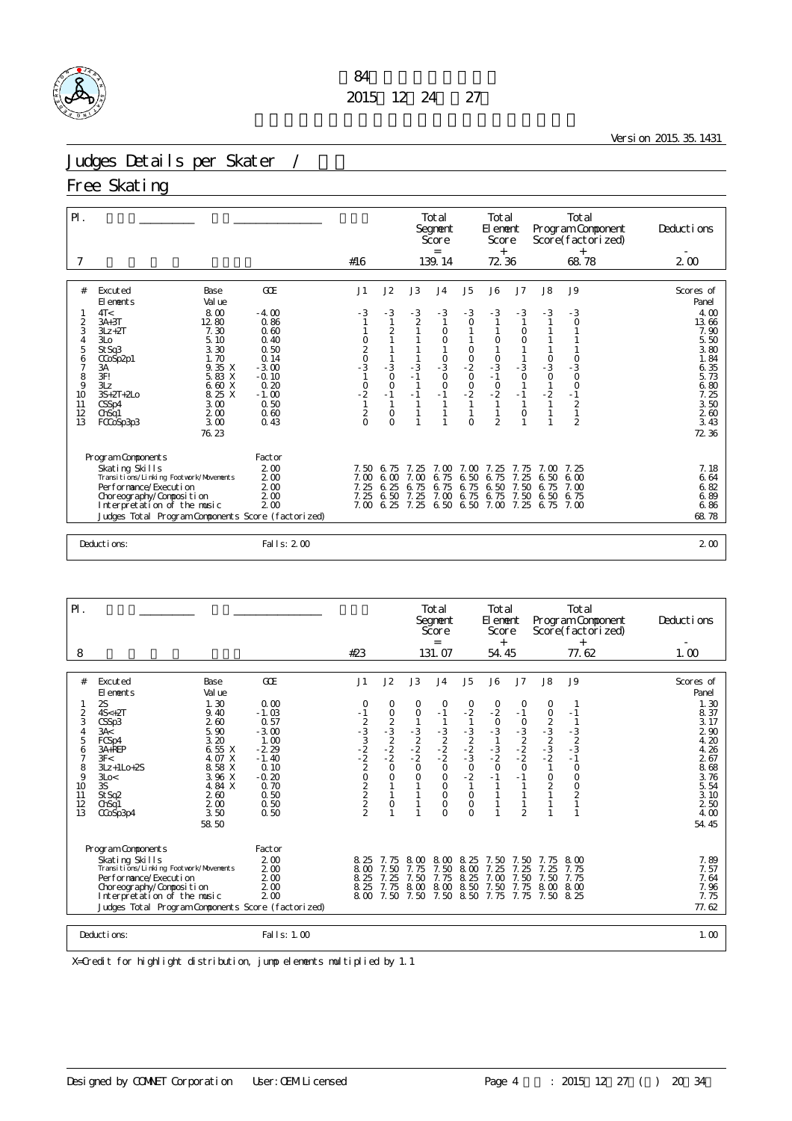

Version 2015.35.1431

# Judges Details per Skater / 2009 - 1999 - 1999 - 1999 - 1999 - 1999 - 1999 - 1999 - 1999 - 1999 - 1999 - 1999 - 1999 - 1999 - 1999 - 1999 - 1999 - 1999 - 1999 - 1999 - 1999 - 1999 - 1999 - 1999 - 1999 - 1999 - 1999 - 1999

## Free Skating

| $\mathsf{PI}$ .                                                           |                                                                                                                                                                                                                                                                                                                             |                                                                                                                                |                                                                                                                    |                                                                                                                                                               |                                                                                      | Total<br>Segnent<br>Score<br>$=$                                                                                                                                                    |                                                                         | Total<br>El enent<br>Score<br>$+$                                                                                                       |                                                                                                                                                       |                                                                                                                                                                               | Tot al<br>Program Component<br>Score(factorized)<br>$^{+}$                                                                                                      | Deductions                                                                                                                          |
|---------------------------------------------------------------------------|-----------------------------------------------------------------------------------------------------------------------------------------------------------------------------------------------------------------------------------------------------------------------------------------------------------------------------|--------------------------------------------------------------------------------------------------------------------------------|--------------------------------------------------------------------------------------------------------------------|---------------------------------------------------------------------------------------------------------------------------------------------------------------|--------------------------------------------------------------------------------------|-------------------------------------------------------------------------------------------------------------------------------------------------------------------------------------|-------------------------------------------------------------------------|-----------------------------------------------------------------------------------------------------------------------------------------|-------------------------------------------------------------------------------------------------------------------------------------------------------|-------------------------------------------------------------------------------------------------------------------------------------------------------------------------------|-----------------------------------------------------------------------------------------------------------------------------------------------------------------|-------------------------------------------------------------------------------------------------------------------------------------|
| $\overline{7}$                                                            |                                                                                                                                                                                                                                                                                                                             |                                                                                                                                | #16                                                                                                                |                                                                                                                                                               |                                                                                      | 139.14                                                                                                                                                                              |                                                                         | 72 36                                                                                                                                   |                                                                                                                                                       |                                                                                                                                                                               | 68.78                                                                                                                                                           | 200                                                                                                                                 |
| #<br>2<br>3<br>$\overline{4}$<br>5<br>6<br>8<br>9<br>10<br>11<br>12<br>13 | <b>Excuted</b><br>Base<br>Val ue<br>FI ements<br>8.00<br>4T <<br>$3A+3T$<br>12.80<br>7.30<br>$3Lz + 2T$<br>3L <sub>O</sub><br>5.10<br>3.30<br>St Sq3<br>1.70<br>$C\text{CoSp2p1}$<br>9.35 X<br>3A<br>3F!<br>5.83 X<br>3Lz<br>6.60 X<br>$3S+2T+2L0$<br>8.25 X<br>3.00<br>CSSp4<br>200<br>ChSq1<br>3.00<br>FCCoSp3p3<br>76.23 | <b>GOE</b><br>$-4.00$<br>0.86<br>0.60<br>0.40<br>0.50<br>0.14<br>$-3.00$<br>$-0.10$<br>0.20<br>$-1.00$<br>0.50<br>0.60<br>0.43 | J1<br>$-3$<br>$\begin{array}{c} 0 \\ 2 \\ 0 \\ -3 \end{array}$<br>$\overline{1}$<br>$\frac{0}{2}$<br>$\frac{2}{0}$ | J2<br>$-3$<br>$\overline{1}$<br>$\overline{2}$<br>$\mathbf{1}$<br>$\mathbf{1}$<br>$-3$<br>$\circ$<br>$\circ$<br>$-1$<br>$\overline{1}$<br>$\circ$<br>$\Omega$ | J3<br>$\frac{-3}{2}$<br>$\mathbf{1}$<br>$-3$<br>$\mathbf{1}$<br>$-1$<br>$\mathbf{1}$ | J <sub>4</sub><br>$-3$<br>$\overline{1}$<br>$\circ$<br>$\circ$<br>$\mathbf{1}$<br>$\begin{smallmatrix}0\\-3\end{smallmatrix}$<br>$_{0}^{0}$<br>$-1$<br>$\mathbf{1}$<br>$\mathbf{1}$ | J5<br>$-3$<br>$\circ$<br>$\frac{0}{2}$<br>$-2$<br>$-2$<br>1<br>$\Omega$ | J6<br>$-3$<br>$\overline{1}$<br>$\circ$<br>$\begin{smallmatrix}0\\-3\end{smallmatrix}$<br>$-1$<br>$-1$<br>$-2$<br>$1$<br>$\overline{2}$ | J7<br>$-3$<br>$\mathbf{1}$<br>$\circ$<br>$\circ$<br>$\mathbf{1}$<br>$-3$<br>$\begin{smallmatrix}0\\1\end{smallmatrix}$<br>$-1$<br>0<br>$\overline{1}$ | J8<br>$-3$<br>$\mathbf{1}$<br>1<br>$\begin{smallmatrix}0\\-3\end{smallmatrix}$<br>$\begin{smallmatrix}0\\1\end{smallmatrix}$<br>$\frac{2}{1}$<br>$\mathbf{1}$<br>$\mathbf{1}$ | <b>J9</b><br>$-3$<br>$\circ$<br>$\begin{smallmatrix}0\\-\;3\end{smallmatrix}$<br>$\circ$<br>$\circ$<br>$-1$<br>$\overline{2}$<br>$\mathbf{1}$<br>$\overline{2}$ | Scores of<br>Panel<br>4.00<br>13.66<br>7.90<br>5.50<br>3.80<br>1.84<br>6.35<br>5.73<br>6.80<br>7.25<br>3.50<br>260<br>3.43<br>72 36 |
|                                                                           | Program Components<br>Skating Skills<br>Transi ti ons/Li nki ng Footvork/Movements<br>Performance/Execution<br>Choreography/Composition<br>Interpretation of the music<br>Judges Total Program Components Score (factorized)                                                                                                | Factor<br>$2\omega$<br>$2\omega$<br>$2\omega$<br>$2\omega$<br>2.00                                                             | 7.50<br>7.00<br>7.25<br>7.25<br>7.00                                                                               | 6.75<br>6 <sub>0</sub><br>6.25<br>6.50<br>6.25                                                                                                                | 25<br>$7 \Omega$<br>6.75<br>7.25<br>7.25                                             | 7. QQ<br>6.75<br>6.75<br>7.00<br>6.50                                                                                                                                               | 7. M<br>6.50<br>6.75<br>6.75                                            | 7 <sub>1</sub><br>-25<br>6.75<br>6.50<br>6.75<br>6.50 7.00 7.25                                                                         | 7.75<br>25<br>7 <sub>1</sub><br>7.50<br>7.50                                                                                                          | 7 M<br>6.50<br>6.75<br>6.50<br>6.75                                                                                                                                           | 7.25<br>600<br>7.00<br>6.75<br>7.00                                                                                                                             | 7.18<br>6.64<br>6.82<br>6.89<br>6.86<br>68.78                                                                                       |
|                                                                           | Deductions:                                                                                                                                                                                                                                                                                                                 | Fall s: 200                                                                                                                    |                                                                                                                    |                                                                                                                                                               |                                                                                      |                                                                                                                                                                                     |                                                                         |                                                                                                                                         |                                                                                                                                                       |                                                                                                                                                                               |                                                                                                                                                                 | 200                                                                                                                                 |

| $\mathsf{P} \mathsf{I}$ .                                                      |                                                                                                                                                                                                                                                                                                                    |                                                                                                                            |                                                                                 |                                                                                               |                                                      | Total<br>Segnent<br>Score<br>$=$                                                                                                       |                                                                                                                                                     | Total<br>El enent<br>Score<br>$+$                                                  |                                                                                                      |                                                                                                    | Total<br>Program Component<br>Score(factorized)<br>$^{+}$                                                                                                    | Deductions                                                                                                                         |
|--------------------------------------------------------------------------------|--------------------------------------------------------------------------------------------------------------------------------------------------------------------------------------------------------------------------------------------------------------------------------------------------------------------|----------------------------------------------------------------------------------------------------------------------------|---------------------------------------------------------------------------------|-----------------------------------------------------------------------------------------------|------------------------------------------------------|----------------------------------------------------------------------------------------------------------------------------------------|-----------------------------------------------------------------------------------------------------------------------------------------------------|------------------------------------------------------------------------------------|------------------------------------------------------------------------------------------------------|----------------------------------------------------------------------------------------------------|--------------------------------------------------------------------------------------------------------------------------------------------------------------|------------------------------------------------------------------------------------------------------------------------------------|
| 8                                                                              |                                                                                                                                                                                                                                                                                                                    |                                                                                                                            | #23                                                                             |                                                                                               |                                                      | 131.07                                                                                                                                 |                                                                                                                                                     | 54.45                                                                              |                                                                                                      |                                                                                                    | 77.62                                                                                                                                                        | 1.00                                                                                                                               |
| #<br>$\overline{2}$<br>3<br>4<br>5<br>6<br>7<br>8<br>9<br>10<br>11<br>12<br>13 | <b>Excuted</b><br>Base<br>El ements<br>Val ue<br>2S<br>1.30<br>$4S<+2T$<br>9.40<br>2.60<br>CSSp3<br>5.90<br>3A<<br>3.20<br>FCSp4<br>6.55 X<br>$3A+REP$<br>4. O7 X<br>3F<<br>8.58 X<br>$3Lz + 1Lo + 2S$<br>3.96 X<br>3Lo<<br>3S<br>4.84 X<br>St Sq2<br>260<br>200<br>Ch <sub>Sq1</sub><br>3.50<br>CCoSp3p4<br>58.50 | GOE<br>0.00<br>$-1.03$<br>0.57<br>$-3.00$<br>1.00<br>$-2.29$<br>$-1.40$<br>0.10<br>$-0.20$<br>0.70<br>0.50<br>0.50<br>0.50 | J1<br>0<br>$-1$<br>$-3$<br>$-3$<br>$-2$<br>$-2$<br>$-2$<br>$-2$<br>$-2$<br><br> | J2<br>0<br>$\circ$<br>$-3$<br>$-2$<br>$-2$<br>$-2$<br>O<br>$\circ$<br>$\circ$<br>$\mathbf{1}$ | J3<br>0<br>$\circ$<br>$-3$<br>$-2$<br>$-2$<br>0<br>0 | J <sub>4</sub><br>0<br>$-1$<br>$\mathbf{1}$<br>$-3$<br>$-2$<br>$-2$<br>$-2$<br>O<br>$\mathbf 0$<br>$\circ$<br>0<br>$\circ$<br>$\Omega$ | J <sub>5</sub><br>0<br>$-2$<br>$\begin{array}{c} 1 \\ -3 \\ 2 \\ -2 \\ -3 \\ 0 \\ -2 \end{array}$<br>$\mathbf{1}$<br>$_{\rm O}^{\rm O}$<br>$\Omega$ | J6<br>$\circ$<br>$-2$<br>$-3$<br>$-3$<br>$-3$<br>$-2$<br>0<br>$-1$<br>$\mathbf{1}$ | J7<br>0<br>$-1$<br>0<br>$-3$<br>$-2$<br>$-2$<br>$-2$<br>0<br><br>1<br>$\mathbf{1}$<br>$\overline{2}$ | J8<br>$\circ$<br>0<br>$-3$<br>$-3$<br>$-2$<br>$-1$<br>$\rm _2^0$<br>$\mathbf{1}$<br>$\overline{1}$ | <b>J9</b><br>$-1$<br>$\overline{1}$<br>$\frac{3}{2}$<br>-3<br>$-1$<br>$\circ$<br>$\mathsf O$<br>$\begin{smallmatrix}0\\2\end{smallmatrix}$<br>$\overline{1}$ | Scores of<br>Panel<br>1.30<br>8.37<br>3.17<br>2 90<br>4.20<br>4.26<br>2 67<br>8.68<br>3.76<br>5.54<br>3.10<br>250<br>4.00<br>54.45 |
|                                                                                | Program Components<br>Skating Skills<br>Transi ti ons/Li nki ng Footvork/Movements<br>Performance/Execution<br>Choreography/Composition<br>Interpretation of the music<br>Judges Total Program Components Score (factorized)                                                                                       | Factor<br>$2\omega$<br>2.00<br>2.00<br>2.00<br>$2\omega$                                                                   | 8.25<br>8 <sub>0</sub><br>8.25<br>8.25<br>8 <sub>0</sub>                        | 7.75<br>7.50<br>25<br>7.75<br>7.50                                                            | 8.<br>$\infty$<br>50<br>8.<br>$\infty$<br>50<br>7.   | 8.00<br>7.50<br>75<br>8.00<br>7.50                                                                                                     | 8<br>25<br>8<br>$\infty$<br>8<br>25<br>8<br>50<br>50<br>8                                                                                           | 7.50<br>25<br>7.00<br>7.50<br>75<br>7 <sub>1</sub>                                 | 7.50<br>25<br>7.50<br>75<br>7.<br>75<br>7 <sub>1</sub>                                               | 7.75<br>7.50<br>8.00<br>7.50                                                                       | 8. CC<br>7.75<br>7.75<br>8.00<br>8.25                                                                                                                        | 7.89<br>7.57<br>7.64<br>7.96<br>7.75<br>77.62                                                                                      |
|                                                                                | Deductions:                                                                                                                                                                                                                                                                                                        | Fall s: 1.00                                                                                                               |                                                                                 |                                                                                               |                                                      |                                                                                                                                        |                                                                                                                                                     |                                                                                    |                                                                                                      |                                                                                                    |                                                                                                                                                              | 1.00                                                                                                                               |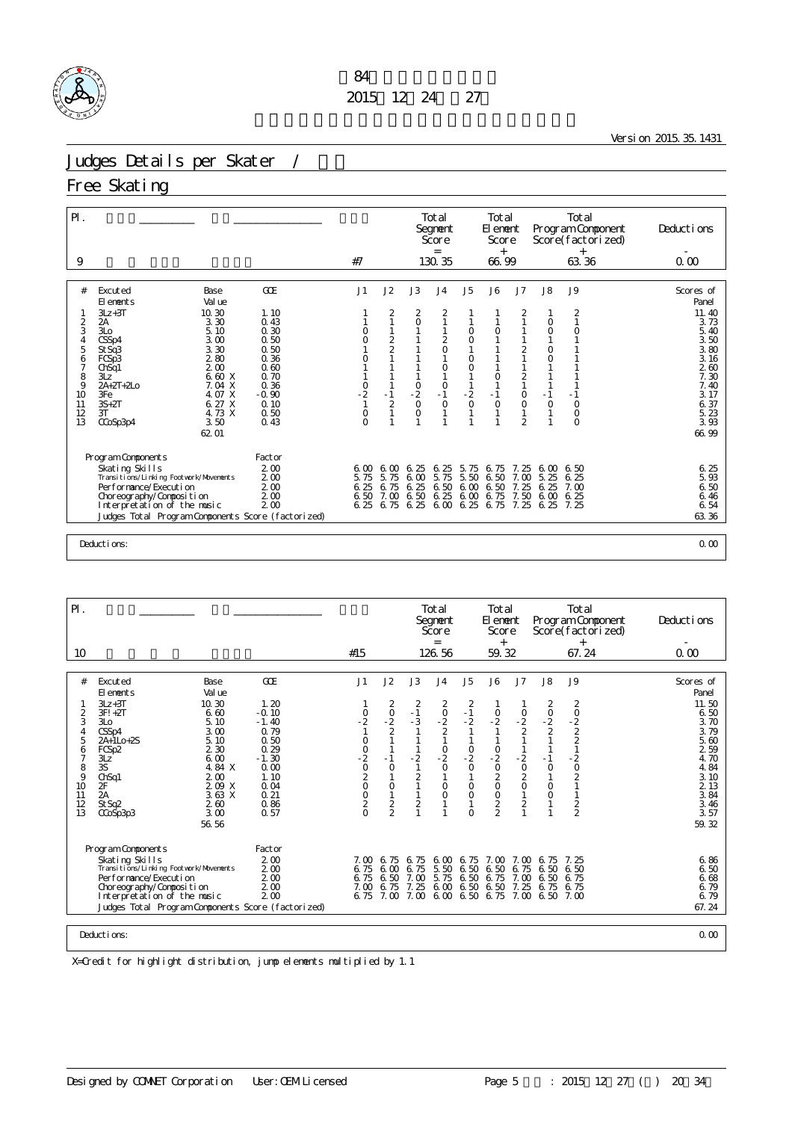

Version 2015.35.1431

# Judges Details per Skater / 2009 - 1999 - 1999 - 1999 - 1999 - 1999 - 1999 - 1999 - 1999 - 1999 - 1999 - 1999 - 1999 - 1999 - 1999 - 1999 - 1999 - 1999 - 1999 - 1999 - 1999 - 1999 - 1999 - 1999 - 1999 - 1999 - 1999 - 1999

## Free Skating

|                                                                                                                                                                                                                                                                                                                                                                             |                                                                                                                       |                                                                               |                                                                                                                                                 |                                                                  | Segnent<br>Score<br>$=$                                                                                                                                                 |                                                                                                                                              | El enent<br>Score                                                                               | Total                                                                                                          |                                                                                                                                                       | Total<br>Program Component<br>Score(factorized)<br>$+$                                           | Deductions                                                                                                                          |
|-----------------------------------------------------------------------------------------------------------------------------------------------------------------------------------------------------------------------------------------------------------------------------------------------------------------------------------------------------------------------------|-----------------------------------------------------------------------------------------------------------------------|-------------------------------------------------------------------------------|-------------------------------------------------------------------------------------------------------------------------------------------------|------------------------------------------------------------------|-------------------------------------------------------------------------------------------------------------------------------------------------------------------------|----------------------------------------------------------------------------------------------------------------------------------------------|-------------------------------------------------------------------------------------------------|----------------------------------------------------------------------------------------------------------------|-------------------------------------------------------------------------------------------------------------------------------------------------------|--------------------------------------------------------------------------------------------------|-------------------------------------------------------------------------------------------------------------------------------------|
| 9                                                                                                                                                                                                                                                                                                                                                                           |                                                                                                                       | #7                                                                            |                                                                                                                                                 |                                                                  | 130.35                                                                                                                                                                  |                                                                                                                                              | $^{+}$<br>66.99                                                                                 |                                                                                                                |                                                                                                                                                       | 63.36                                                                                            | 0.00                                                                                                                                |
| #<br><b>Excuted</b><br>Base<br>Val ue<br>El ements<br>$3Lz + 3T$<br>10.30<br>3.30<br>2<br>2A<br>3<br>3L <sub>O</sub><br>5.10<br>3.00<br>CSSp4<br>4<br>3.30<br>5<br>StSq3<br>280<br>FCSp3<br>6<br>200<br>ChSq1<br>3Lz<br>6.60 X<br>8<br>$2A+2T+2L0$<br>9<br>7.04 X<br>4.07 X<br>3Fe<br>10<br>$3S+2T$<br>6.27X<br>11<br>4.73 X<br>12<br>3T<br>13<br>CCoSp3p4<br>3.50<br>62.01 | <b>GOE</b><br>1.10<br>0.43<br>0.30<br>0.50<br>0.50<br>0.36<br>0.60<br>0.70<br>0.36<br>$-0.90$<br>0.10<br>0.50<br>0.43 | J1<br>$\Omega$<br>$\overline{O}$<br>0<br>$\frac{0}{2}$<br>$\circ$<br>$\Omega$ | J2<br>$\frac{2}{1}$<br>$\begin{array}{c}\n2 \\ 2 \\ 1\n\end{array}$<br>$\mathbf{1}$<br>$-1$<br>$\overline{2}$<br>$\mathbf{1}$<br>$\overline{1}$ | J3<br>2<br>$\circ$<br>$\frac{0}{2}$<br>$\circ$<br>$\overline{1}$ | J <sub>4</sub><br>$\frac{2}{1}$<br>$\mathbf{1}$<br>$\frac{2}{0}$<br>$\mathbf{1}$<br>$\circ$<br>$\mathbf{1}$<br>$0 - 1$<br>$\mathbf 0$<br>$\mathbf{1}$<br>$\overline{1}$ | J <sub>5</sub><br>$\circ$<br>$\begin{smallmatrix}0\\1\end{smallmatrix}$<br>$_{\rm 0}^{\rm 0}$<br>$\begin{array}{c} 1 \\ -2 \\ 0 \end{array}$ | J6<br>$\circ$<br>$\mathbf{1}$<br>$\circ$<br>$\mathbf{1}$<br>$-1$<br>$\mathbf 0$<br>$\mathbf{1}$ | J7<br>2<br>$\frac{2}{1}$<br>1<br>$\frac{2}{1}$<br>$\mathsf O$<br>$\mathsf O$<br>$\mathbf{1}$<br>$\mathfrak{D}$ | J8<br>$\circ$<br>$\circ$<br>$\mathbf{1}$<br>$\circ$<br>$\mathsf O$<br>$\mathbf{1}$<br>$\mathbf{1}$<br>$\mathbf{1}$<br>$-1$<br>$\circ$<br>$\mathbf{1}$ | <b>J9</b><br>$\frac{2}{1}$<br>$\overline{O}$<br>$\mathbf{1}$<br>$-1$<br>0<br>$\circ$<br>$\Omega$ | Scores of<br>Panel<br>11.40<br>3.73<br>5.40<br>3.50<br>3.80<br>3.16<br>260<br>7.30<br>7.40<br>3.17<br>6.37<br>5.23<br>3.93<br>66.99 |
| Program Components<br>Skating Skills<br>Transi ti ons/Li nki ng Footwork/Movements<br>Performance/Execution<br>Choreography/Composition<br>Interpretation of the music<br>Judges Total Program Components Score (factorized)<br>Deductions:                                                                                                                                 | Factor<br>$2\omega$<br>$2\omega$<br>2.00<br>$2\omega$<br>2.00                                                         | 6.00<br>5.75<br>6.25<br>6.50<br>6.25                                          | 6.00<br>5.75<br>6.75<br>7.00<br>6.75                                                                                                            | 6.25<br>6.00<br>25<br>6.<br>6.50<br>25<br>6.                     | 6.25<br>5.75<br>6.50<br>6.25<br>6.00                                                                                                                                    | 5.75<br>5.50<br>6.00<br>6.00<br>25<br>6.                                                                                                     | 6.75<br>6.50<br>6.50<br>6.75<br>6.75                                                            | 7.<br>25<br>$\infty$<br>7 <sub>1</sub><br>25<br>7.<br>7.50<br>25<br>7 <sub>1</sub>                             | 6.00<br>-5.<br>25<br>6.25<br>6.00<br>25<br>6.                                                                                                         | 6.50<br>6.25<br>7.00<br>6.25<br>7.25                                                             | 6.25<br>5.93<br>6.50<br>6.46<br>6.54<br>63.36<br>0.00                                                                               |

| $\mathsf{P}$ .                                                                                                                                                                                                                                                                                                                                                                                     |                                                                                                                      |                                                                                                          |                                                                                                |                                                                                                                                               | Total<br>Segnent<br>Score<br>$=$                                                                              |                                                                                                                                                     | Total<br>El enent<br>Score<br>$^{+}$                                                                     |                                                                             |                                                                                                 | <b>Total</b><br>Program Component<br>Score(factorized)<br>$^{+}$                                                                  | Deductions                                                                                                                            |
|----------------------------------------------------------------------------------------------------------------------------------------------------------------------------------------------------------------------------------------------------------------------------------------------------------------------------------------------------------------------------------------------------|----------------------------------------------------------------------------------------------------------------------|----------------------------------------------------------------------------------------------------------|------------------------------------------------------------------------------------------------|-----------------------------------------------------------------------------------------------------------------------------------------------|---------------------------------------------------------------------------------------------------------------|-----------------------------------------------------------------------------------------------------------------------------------------------------|----------------------------------------------------------------------------------------------------------|-----------------------------------------------------------------------------|-------------------------------------------------------------------------------------------------|-----------------------------------------------------------------------------------------------------------------------------------|---------------------------------------------------------------------------------------------------------------------------------------|
| 10                                                                                                                                                                                                                                                                                                                                                                                                 |                                                                                                                      | #15                                                                                                      |                                                                                                |                                                                                                                                               | 126.56                                                                                                        |                                                                                                                                                     | 59.32                                                                                                    |                                                                             |                                                                                                 | 67.24                                                                                                                             | 0.00                                                                                                                                  |
| #<br><b>Excuted</b><br>Base<br>Val ue<br>El ements<br>10.30<br>$3Lz + 3T$<br>6.60<br>2<br>$3F! + 2T$<br>3<br>5.10<br>3L <sub>O</sub><br>CSSp4<br>3.00<br>4<br>5<br>5.10<br>$2A+1Lo+2S$<br>2 3 0<br>6<br>FCSp2<br>7<br>6.00<br>3Lz<br>3S<br>$\frac{8}{9}$<br>4.84 X<br>ChSq1<br>2 <sub>0</sub><br>209 X<br>10<br>2F<br>2A<br>3.63X<br>11<br>12<br>2.60<br>St Sq2<br>13<br>3.00<br>CCoSp3p3<br>56.56 | GOE<br>1.20<br>$-0.10$<br>$-1.40$<br>0.79<br>0.50<br>0.29<br>$-1.30$<br>0.00<br>1.10<br>0.04<br>0.21<br>0.86<br>0.57 | J1<br>$\frac{0}{2}$<br>$\circ$<br>$\frac{0}{2}$<br>$\frac{0}{2}$<br>$\circ$<br>$\frac{0}{2}$<br>$\Omega$ | J2<br>2<br>$-2$<br>$-2$<br>2<br>$-1$<br>$\circ$<br>$\circ$<br>$\overline{c}$<br>$\mathfrak{D}$ | J3<br>2<br>$-1$<br>$-3$<br>$\mathbf{1}$<br>1<br>$\mathbf{1}$<br>$-2$<br>$\mathbf{1}$<br>$\overline{c}$<br>1<br>$\mathbf{1}$<br>$\overline{c}$ | J <sub>4</sub><br>2<br>$\frac{0}{2}$<br>1<br>$\frac{0}{2}$<br>$\circ$<br>$\circ$<br>$\circ$<br>$\overline{1}$ | J <sub>5</sub><br>$\overline{2}$<br>$-1$<br>$-2$<br>1<br>$\frac{0}{2}$<br>$\circ$<br>$\mathbf{1}$<br>$\circ$<br>$\circ$<br>$\mathbf{1}$<br>$\Omega$ | J6<br>$-2$<br>$-1$<br>$-2$<br>$-2$<br>$0$<br>2<br>$\circ$<br>$\circ$<br>$\overline{c}$<br>$\mathfrak{D}$ | J7<br>$-2$<br>$-2$<br>$-2$<br>0<br>0<br>0<br>$\mathbf{1}$<br>$\overline{c}$ | J8<br>$\begin{array}{c} 2 \\ 0 \\ -2 \\ 2 \end{array}$<br>$-1$<br>$\circ$<br>$\circ$<br>$\circ$ | <b>J9</b><br>$20 - 22$<br>$22$<br>$1$<br>$\begin{array}{c}\n 2 \\  -2 \\  0 \\  2\n \end{array}$<br>$\mathbf{1}$<br>$\frac{2}{2}$ | Scores of<br>Panel<br>11.50<br>6.50<br>3.70<br>3.79<br>5.60<br>2 59<br>4.70<br>4.84<br>3.10<br>2 1 3<br>3.84<br>3.46<br>3.57<br>59.32 |
| Program Components<br>Skating Skills<br>Transi ti ons/Li nki ng Footvork/Movements<br>Performance/Execution<br>Choreography/Composition<br>Interpretation of the music<br>Judges Total Program Components Score (factorized)<br>Deductions:                                                                                                                                                        | Factor<br>2.00<br>2.00<br>2.00<br>2.00<br>2.00                                                                       | $7 \Omega$<br>6.75<br>6.75<br>7.00<br>6.75                                                               | 6.75<br>6.00<br>6.50<br>6.75<br>7.00                                                           | 6.75<br>75<br>6.<br>7.00<br>25<br>7 <sub>1</sub><br>7.00                                                                                      | 6 <sub>0</sub><br>5.50<br>5.<br>75<br>6.00<br>6.00                                                            | 675<br>6.50<br>6.50<br>6.50<br>6.50                                                                                                                 | $7 \Omega$<br>6.50<br>75<br>6.<br>6.50<br>6.75                                                           | $7 \Omega$<br>75<br>6.<br>7.00<br>25<br>7.<br>7.00                          | 75<br>6.<br>50<br>6.<br>50<br>6.<br>75<br>6.<br>6.50                                            | 7.25<br>6.50<br>6.75<br>6.75<br>7.00                                                                                              | 6.86<br>6.50<br>6.68<br>6.79<br>6.79<br>67.24<br>0.00                                                                                 |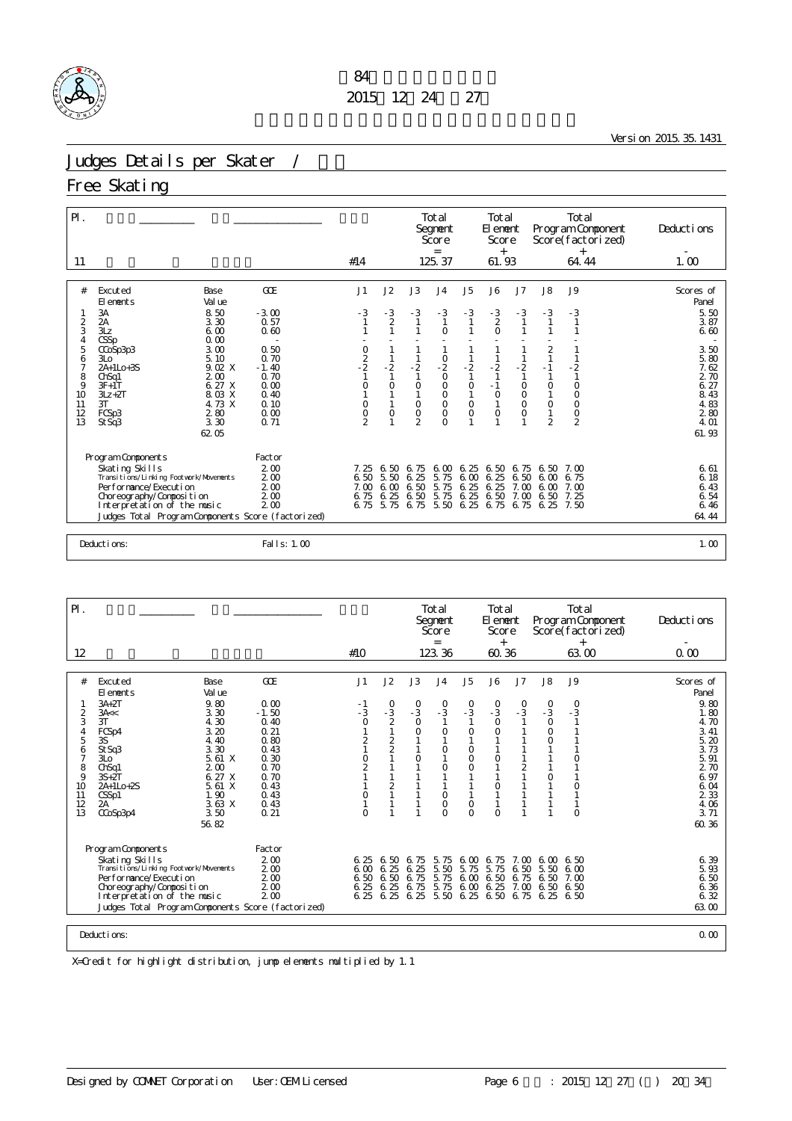

Version 2015.35.1431

# Judges Details per Skater / 2009 - 1999 - 1999 - 1999 - 1999 - 1999 - 1999 - 1999 - 1999 - 1999 - 1999 - 1999 - 1999 - 1999 - 1999 - 1999 - 1999 - 1999 - 1999 - 1999 - 1999 - 1999 - 1999 - 1999 - 1999 - 1999 - 1999 - 1999

## Free Skating

| $\mathsf{PI}$ .                               |                                                                                                                                                                                                                              |                                                                                              |                                                                         |                                                                                                                |                                                                                                     |                                                                                  | Total<br>Segnent<br>Score<br>$=$                                                                                            |                                                       | Total<br>El ement<br>Score<br>$^{+}$                                            |                                                                               |                                                                                                               | <b>Total</b><br>Program Component<br>Score(factorized)<br>$^{+}$                           | Deductions                                                                    |
|-----------------------------------------------|------------------------------------------------------------------------------------------------------------------------------------------------------------------------------------------------------------------------------|----------------------------------------------------------------------------------------------|-------------------------------------------------------------------------|----------------------------------------------------------------------------------------------------------------|-----------------------------------------------------------------------------------------------------|----------------------------------------------------------------------------------|-----------------------------------------------------------------------------------------------------------------------------|-------------------------------------------------------|---------------------------------------------------------------------------------|-------------------------------------------------------------------------------|---------------------------------------------------------------------------------------------------------------|--------------------------------------------------------------------------------------------|-------------------------------------------------------------------------------|
| 11                                            |                                                                                                                                                                                                                              |                                                                                              |                                                                         | #14                                                                                                            |                                                                                                     |                                                                                  | 125.37                                                                                                                      |                                                       | 61.93                                                                           |                                                                               |                                                                                                               | 64.44                                                                                      | 1.00                                                                          |
| #<br>2<br>3                                   | <b>Excuted</b><br>El ements<br>3A<br>2A<br>3Lz                                                                                                                                                                               | Base<br>Val ue<br>8.50<br>3.30<br>6.00                                                       | <b>GOE</b><br>$-3.00$<br>0.57<br>0.60                                   | J1<br>$-3$                                                                                                     | J2<br>$-3$<br>$\overline{2}$<br>$\overline{1}$                                                      | J3<br>$-3$<br>$\mathbf{1}$<br>1                                                  | J <sub>4</sub><br>$-3$<br>$\mathbf{1}$<br>$\circ$                                                                           | J5<br>$-3$                                            | J6<br>$\frac{3}{2}$<br>$\overline{O}$                                           | J7<br>$-3$<br>$\mathbf{1}$<br>$\mathbf{1}$                                    | J8<br>$-3$<br>$\mathbf{1}$<br>$\mathbf{1}$                                                                    | <b>J9</b><br>$-3$<br>$\mathbf{1}$<br>$\mathbf{1}$                                          | Scores of<br>Panel<br>5.50<br>3.87<br>6.60                                    |
| 4<br>5<br>6<br>8<br>9<br>10<br>11<br>12<br>13 | CSSp<br>CCoSp3p3<br>3 <sub>LO</sub><br>2A+1Lo+3S<br>Ch <sub>Sa1</sub><br>$3F+1T$<br>$3Lz + 2T$<br>3T<br>FCSp3<br>St Sq <sub>3</sub>                                                                                          | 0.00<br>3.00<br>5.10<br>9.02 X<br>2.00<br>6.27X<br>8.03 X<br>4.73 X<br>2.80<br>3.30<br>62.05 | 0.50<br>0.70<br>$-1.40$<br>0.70<br>0.00<br>0.40<br>0.10<br>0.00<br>0.71 | $\begin{array}{c} 0 \\ 2 \\ -2 \end{array}$<br>$\mathbf{1}$<br>$\circ$<br>$\circ$<br>$\circ$<br>$\overline{a}$ | $\frac{1}{2}$<br>$\mathbf{1}$<br>$\circ$<br>$\mathbf{1}$<br>$\mathbf{1}$<br>$\circ$<br>$\mathbf{1}$ | $\frac{1}{2}$<br>$\mathbf{1}$<br>$\circ$<br>$\circ$<br>$\circ$<br>$\overline{2}$ | $\mathbf{1}$<br>$\begin{smallmatrix}0\\2\end{smallmatrix}$<br>$\circ$<br>$\circ$<br>$\mathsf O$<br>$\circ$<br>O<br>$\Omega$ | $\frac{1}{2}$<br>$\circ$<br>$\circ$<br>$\circ$        | $\frac{1}{2}$<br>$\mathbf{1}$<br>$-1$<br>$\mathbf 0$<br>$\mathbf{1}$<br>$\circ$ | $\frac{1}{2}$<br>$\mathbf{1}$<br>$\circ$<br>$\mathsf O$<br>$\circ$<br>$\circ$ | $\frac{2}{1}$<br>$-1$<br>$\mathbf{1}$<br>$\circ$<br>$\mathbf{1}$<br>$\circ$<br>$\mathbf{1}$<br>$\overline{2}$ | $-2$<br>$\mathbf{1}$<br>$\circ$<br>$\circ$<br>$\mathbf 0$<br>$\mathsf O$<br>$\overline{2}$ | 3.50<br>5.80<br>7.62<br>2.70<br>6.27<br>8.43<br>4.83<br>280<br>4. O1<br>61.93 |
|                                               | Program Components<br>Skating Skills<br>Transi ti ons/Li nki ng Footvork/Movements<br>Performance/Execution<br>Choreography/Composition<br>Interpretation of the music<br>Judges Total Program Components Score (factorized) |                                                                                              | Factor<br>$2\omega$<br>$2\omega$<br>$2\omega$<br>$2\omega$<br>$2\omega$ | 7.25<br>6.50<br>7.00<br>6.75<br>6.75                                                                           | 6.50<br>5.50<br>6 <sub>0</sub><br>6.25<br>5.75                                                      | 6.75<br>6.25<br>6.50<br>50<br>6.<br>75<br>6.                                     | 6.00<br>5.75<br>5.75<br>5.75<br>5.50                                                                                        | 6.25<br>6 <sub>0</sub><br>25<br>6<br>25<br>6.<br>6.25 | 6.50<br>6.25<br>6.25<br>6.50<br>6.75                                            | 6.75<br>6.50<br>$7 \Omega$<br>7.00<br>6.75                                    | 6.50<br>6,00<br>6. M<br>6.50<br>6.25                                                                          | 7. QQ<br>6.75<br>7.00<br>7.25<br>7.50                                                      | 6.61<br>6.18<br>6.43<br>6.54<br>6.46<br>64.44                                 |
|                                               | Deductions:                                                                                                                                                                                                                  |                                                                                              | Fall s: 1.00                                                            |                                                                                                                |                                                                                                     |                                                                                  |                                                                                                                             |                                                       |                                                                                 |                                                                               |                                                                                                               |                                                                                            | 1.00                                                                          |

| Score(factorized)<br>Score<br>Score<br>$+$<br>$^{+}$<br>$=$                                                                                                                                                                                                                                                                                                                                                                                                                                                                                                                                                                                                                                                                                                                                                                                                                                                                                                                                                                                                                                                                                                                                                                                                     |                                                                                                                     |
|-----------------------------------------------------------------------------------------------------------------------------------------------------------------------------------------------------------------------------------------------------------------------------------------------------------------------------------------------------------------------------------------------------------------------------------------------------------------------------------------------------------------------------------------------------------------------------------------------------------------------------------------------------------------------------------------------------------------------------------------------------------------------------------------------------------------------------------------------------------------------------------------------------------------------------------------------------------------------------------------------------------------------------------------------------------------------------------------------------------------------------------------------------------------------------------------------------------------------------------------------------------------|---------------------------------------------------------------------------------------------------------------------|
| 123.36<br>60.36<br>63.00<br>12<br>#10                                                                                                                                                                                                                                                                                                                                                                                                                                                                                                                                                                                                                                                                                                                                                                                                                                                                                                                                                                                                                                                                                                                                                                                                                           | 0.00                                                                                                                |
| <b>J9</b><br><b>GOE</b><br>J2<br>J3<br>J <sub>5</sub><br>J7<br>J8<br>J1<br>J <sub>4</sub><br>J6<br>#<br><b>Excuted</b><br>Base<br>Val ue<br>El ements<br>9.80<br>$3A+2T$<br>0.00<br>$\circ$<br>$\circ$<br>0<br>0<br>0<br>0<br>0<br>0<br>- 1<br>$-3$<br>2<br>1<br>$-\bar{3}$<br>$-3$ 0<br>$-3$<br>$-3$<br>$\frac{3}{0}$<br>$-3$<br>$-3$<br>$-3$<br>O<br>$\overline{2}$<br>3.30<br>$-1.50$<br>3A <<<br>$\overline{1}$<br>$\overline{O}$<br>3<br>$\mathbf{1}$<br>3T<br>4.30<br>0.40<br>$\circ$<br>$\circ$<br>$\circ$<br>3.20<br>0.21<br>$\circ$<br>$\circ$<br>4<br>FCSp4<br>5<br>$\overline{\mathbf{c}}$<br>$\overline{\mathbf{c}}$<br>$\circ$<br>3S<br>4.40<br>0.80<br>$\overline{2}$<br>3.30<br>0.43<br>$\circ$<br>$\circ$<br>$\mathbf{1}$<br>St Sq3<br>6<br>7<br>0.30<br>$\circ$<br>$\circ$<br>$\mathbf{1}$<br>5.61X<br>$\circ$<br>$\circ$<br>$\mathbf 0$<br>3 <sub>LO</sub><br>$\overline{c}$<br>$\overline{2}$<br>0.70<br>$\circ$<br>$2\omega$<br>$\mathbf{1}$<br>8<br>ChSq1<br>$\circ$<br>9<br>6.27 X<br>0.70<br>$\circ$<br>$3S+2T$<br>0.43<br>$\overline{2}$<br>5.61 X<br>$\circ$<br>$\mathbf{1}$<br>10<br>2A+1Lo+2S<br>0<br>0.43<br>1.90<br>$\circ$<br>$\mathbf{1}$<br>11<br>CSSp1<br>0<br>3.63X<br>0.43<br>$\circ$<br>$\circ$<br>12<br>2A<br>$\mathbf{1}$ | Scores of<br>Panel<br>9.80<br>1.80<br>4.70<br>3.41<br>5.20<br>3.73<br>5.91<br>2.70<br>6.97<br>6.04<br>2 3 3<br>4.06 |
| $\Omega$<br>13<br>3.50<br>0.21<br>$\Omega$<br>$\Omega$<br>$\Omega$<br>$\Omega$<br>$\mathbf{1}$<br>CCoSp3p4<br>56.82                                                                                                                                                                                                                                                                                                                                                                                                                                                                                                                                                                                                                                                                                                                                                                                                                                                                                                                                                                                                                                                                                                                                             | 3.71<br>60.36                                                                                                       |
| Program Components<br>Factor<br>$2\omega$<br>Skating Skills<br>6.50<br>6.25<br>6.75<br>5.75<br>600<br>6.75<br>$7 \Omega$<br>6.00<br>6.50<br>Transi ti ons/Li nki ng Footvork/Movements<br>$2\omega$<br>6 <sub>0</sub><br>6.25<br>25<br>5.50<br>-5.<br>5.<br>75<br>75<br>6.50<br>5.50<br>600<br>6.<br>$2\omega$<br>6.50<br>6.75<br>6.50<br>Performance/Execution<br>6.50<br>5.75<br>600<br>75<br>6.50<br>7.00<br>6.<br>6.25<br>6.75<br>5.75<br>6.25<br>Choreography/Composition<br>2.00<br>6.25<br>600<br>7.00<br>6.50<br>6.50                                                                                                                                                                                                                                                                                                                                                                                                                                                                                                                                                                                                                                                                                                                                   | 6.39<br>5.93<br>6.50<br>6.36                                                                                        |
| $2\omega$<br>6.25<br>5.50<br>6.50<br>Interpretation of the music<br>6.25<br>6.25<br>6.25<br>6.75<br>6.25<br>6.50<br>Judges Total Program Components Score (factorized)                                                                                                                                                                                                                                                                                                                                                                                                                                                                                                                                                                                                                                                                                                                                                                                                                                                                                                                                                                                                                                                                                          | 6.32<br>63.00                                                                                                       |
| Deductions:                                                                                                                                                                                                                                                                                                                                                                                                                                                                                                                                                                                                                                                                                                                                                                                                                                                                                                                                                                                                                                                                                                                                                                                                                                                     | 0.00                                                                                                                |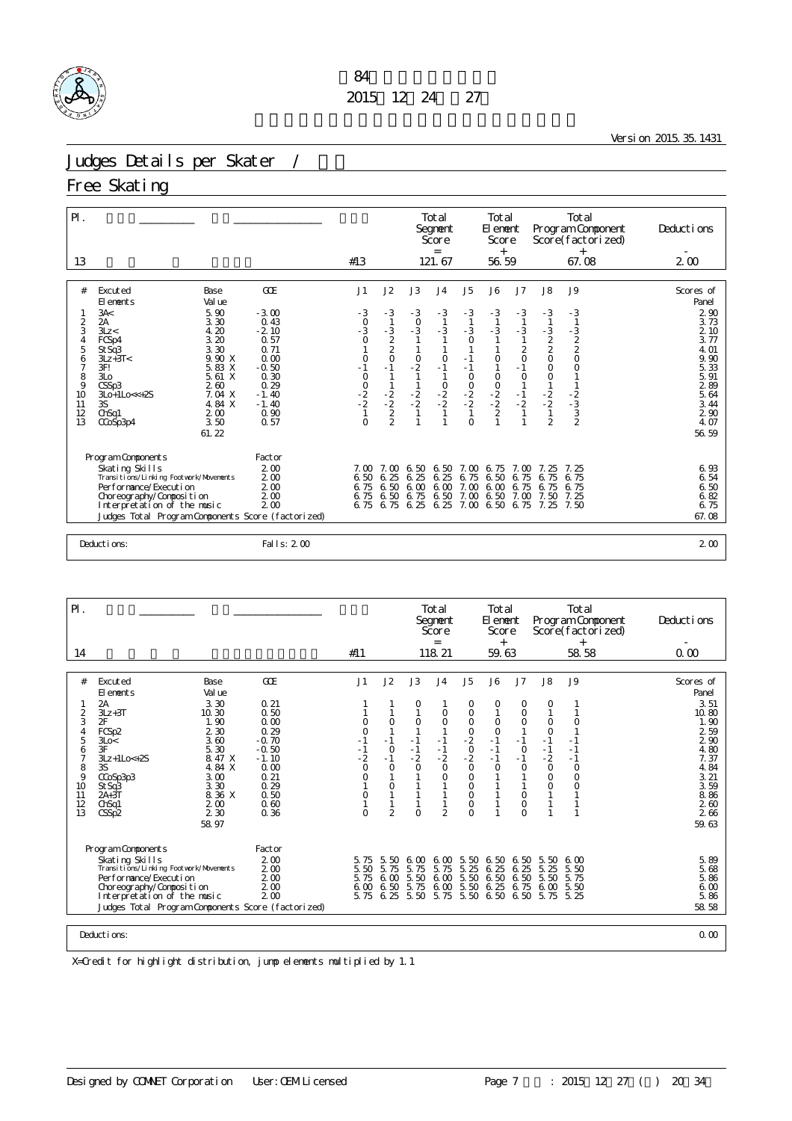

Version 2015.35.1431

# Judges Details per Skater / 2009 - 1999 - 1999 - 1999 - 1999 - 1999 - 1999 - 1999 - 1999 - 1999 - 1999 - 1999 - 1999 - 1999 - 1999 - 1999 - 1999 - 1999 - 1999 - 1999 - 1999 - 1999 - 1999 - 1999 - 1999 - 1999 - 1999 - 1999

## Free Skating

| $\mathsf{P}$ .                                                      |                                                                                                                                                                                                                                                                                                             |                                                                                                                                   |                                                                                                |                                                                                                        |                                                                                                               | Total<br>Segnent<br>Score<br>$=$                                                                                                                                                                  |                                                                                                                              | Total<br>El ement<br>Score<br>$+$                                                                                |                                                                                                                     |                                                                                                                                                         | <b>Total</b><br>Program Component<br>Score(factorized)<br>$^{+}$                                | Deductions                                                                                                                          |
|---------------------------------------------------------------------|-------------------------------------------------------------------------------------------------------------------------------------------------------------------------------------------------------------------------------------------------------------------------------------------------------------|-----------------------------------------------------------------------------------------------------------------------------------|------------------------------------------------------------------------------------------------|--------------------------------------------------------------------------------------------------------|---------------------------------------------------------------------------------------------------------------|---------------------------------------------------------------------------------------------------------------------------------------------------------------------------------------------------|------------------------------------------------------------------------------------------------------------------------------|------------------------------------------------------------------------------------------------------------------|---------------------------------------------------------------------------------------------------------------------|---------------------------------------------------------------------------------------------------------------------------------------------------------|-------------------------------------------------------------------------------------------------|-------------------------------------------------------------------------------------------------------------------------------------|
| 13                                                                  |                                                                                                                                                                                                                                                                                                             |                                                                                                                                   | #13                                                                                            |                                                                                                        |                                                                                                               | 121.67                                                                                                                                                                                            |                                                                                                                              | 56.59                                                                                                            |                                                                                                                     |                                                                                                                                                         | 67.08                                                                                           | 200                                                                                                                                 |
| #<br>$\frac{2}{3}$<br>4<br>5<br>6<br>8<br>9<br>10<br>11<br>12<br>13 | <b>Excuted</b><br>Base<br>Val ue<br>El ements<br>3A<<br>5.90<br>2A<br>3.30<br>3Lz<<br>4.20<br>3.20<br>FCSp4<br>3.30<br>St Sq3<br>9.90X<br>$3Lz + 3T <$<br>3F!<br>5.83 X<br>3L <sub>O</sub><br>5.61 X<br>CSSD3<br>2.60<br>7.04X<br>3Lo+1Lo<<+2S<br>3S<br>4.84 X<br>ChSq1<br>200<br>3.50<br>CCoSp3p4<br>61.22 | <b>GOE</b><br>$-3.00$<br>0.43<br>$-2.10$<br>0.57<br>0.71<br>0.00<br>$-0.50$<br>0.30<br>0.29<br>$-1.40$<br>$-1.40$<br>0.90<br>0.57 | J1<br>$-3$<br>$-3$<br>$-3$<br>0<br>1<br>$0 - 1$<br>$\frac{0}{2}$<br>$\frac{-2}{1}$<br>$\Omega$ | J2<br>$-3$<br>1<br>$-3$<br>$2$<br>$2$<br>$0$<br>$-1$<br>$\mathbf{1}$<br>$\frac{1}{2}$<br>$\frac{2}{2}$ | J3<br>$-3$<br>$\frac{0}{3}$<br>$\mathbf{1}$<br>$\frac{1}{0}$<br>$-2$<br>$1$<br>$\frac{1}{2}$<br>$\frac{2}{1}$ | J <sub>4</sub><br>$-3$<br>$\mathbf{1}$<br>$-3$<br>$\mathbf{1}$<br>$\mathbf{1}$<br>$\begin{smallmatrix}0\\-1\end{smallmatrix}$<br>$\mathbf{1}$<br>$\frac{0}{2}$<br>$\frac{2}{1}$<br>$\overline{1}$ | J <sub>5</sub><br>$-3$<br>$-3$<br>$\mathsf O$<br>$-1$<br>$-1$<br>$\frac{0}{2}$<br>$\frac{-2}{2}$<br>$\frac{2}{1}$<br>$\circ$ | J6<br>$-3$<br>$\overline{1}$<br>$-3$<br>$\begin{smallmatrix}0\\1\end{smallmatrix}$<br>$0$<br>$-2$<br>$-2$<br>$2$ | J7<br>$-3$<br>$\mathbf{1}$<br>$-3$<br>$\frac{1}{2}$<br>$\frac{2}{0}$<br>$\frac{1}{1}$<br>$0$<br>-1<br>-2<br>-2<br>1 | J8<br>$-3$<br>$\mathbf{1}$<br>$\frac{3}{2}$<br>$\frac{2}{0}$<br>$\mathsf O$<br>$\begin{array}{c} 0 \\ 1 \\ -2 \\ -2 \\ 1 \end{array}$<br>$\overline{2}$ | <b>J9</b><br>$-3$<br>$\mathbf{1}$<br>$-3$<br>2<br>2<br>0<br>$\circ$<br>$-2$<br>$-3$<br>$3$<br>2 | Scores of<br>Panel<br>290<br>3.73<br>2.10<br>3.77<br>4. O1<br>9.90<br>5.33<br>5.91<br>2.89<br>5.64<br>3.44<br>2 90<br>4.07<br>56.59 |
|                                                                     | Program Components<br>Skating Skills<br>Transi ti ons/Li nki ng Footvork/Movements<br>Performance/Execution<br>Choreography/Composition<br>Interpretation of the music<br>Judges Total Program Components Score (factorized)                                                                                | Factor<br>$2\omega$<br>$2\omega$<br>$2\omega$<br>$2\omega$<br>$2\omega$                                                           | $7 \Omega$<br>6.50<br>6.75<br>6.75<br>6.75                                                     | 7.00<br>6.25<br>6.50<br>6.50<br>6.75                                                                   | 50<br>6.<br>25<br>6.<br>6.00<br>6.75<br>6.25                                                                  | 6.50<br>6.25<br>6.00<br>6.50<br>6.25                                                                                                                                                              | 7.00<br>75<br>6.<br>7.00<br>7.00<br>7.00                                                                                     | 6.75<br>6.50<br>600<br>6.50<br>6.50                                                                              | 7. M<br>6.75<br>6.75<br>7.00<br>6.75                                                                                | 25<br>7<br>6.75<br>6.75<br>7.50<br>7.25                                                                                                                 | 7.25<br>6.75<br>6.75<br>7.25<br>- 7.50                                                          | 6.93<br>6.54<br>6.50<br>6.82<br>6.75<br>67.08                                                                                       |
|                                                                     | Deductions:                                                                                                                                                                                                                                                                                                 | Fall s: 200                                                                                                                       |                                                                                                |                                                                                                        |                                                                                                               |                                                                                                                                                                                                   |                                                                                                                              |                                                                                                                  |                                                                                                                     |                                                                                                                                                         |                                                                                                 | 200                                                                                                                                 |

| $\mathsf{P}$ .                                                                                                                                                                                                                                                                                                                                                                          |                                                                                                                             |                                                                             |                                                                             |                                                                   | Total<br>Segnent<br>Score<br>$=$                                                                |                                                                                                                                | Total<br>El ement<br>Score<br>$+$                                |                                                                                                        |                                                                                                                                  | Total<br>Program Component<br>Score(factorized)<br>$^{+}$                             | Deductions                                                                                                                          |
|-----------------------------------------------------------------------------------------------------------------------------------------------------------------------------------------------------------------------------------------------------------------------------------------------------------------------------------------------------------------------------------------|-----------------------------------------------------------------------------------------------------------------------------|-----------------------------------------------------------------------------|-----------------------------------------------------------------------------|-------------------------------------------------------------------|-------------------------------------------------------------------------------------------------|--------------------------------------------------------------------------------------------------------------------------------|------------------------------------------------------------------|--------------------------------------------------------------------------------------------------------|----------------------------------------------------------------------------------------------------------------------------------|---------------------------------------------------------------------------------------|-------------------------------------------------------------------------------------------------------------------------------------|
| 14                                                                                                                                                                                                                                                                                                                                                                                      |                                                                                                                             | #11                                                                         |                                                                             |                                                                   | 118.21                                                                                          |                                                                                                                                | 59.63                                                            |                                                                                                        |                                                                                                                                  | 58.58                                                                                 | 0.00                                                                                                                                |
| #<br><b>Excuted</b><br>Base<br>Val ue<br>El ements<br>2A<br>3.30<br>$\overline{2}$<br>$3Lz + 3T$<br>10.30<br>3<br>2F<br>1.90<br>2 3 0<br>FCSp2<br>4<br>5<br>3.60<br>3Lo<<br>3F<br>5.30<br>6<br>7<br>8.47 X<br>$3Lz + 1Lo < +2S$<br>8<br>4.84 X<br>3S<br>9<br>CCoSp3p3<br>3.00<br>3.30<br>10<br>St Sq3<br>$2A+3T$<br>8.36 X<br>11<br>200<br>12<br>ChSq1<br>13<br>2 3 0<br>CSSp2<br>58.97 | <b>CCE</b><br>0.21<br>0.50<br>0.00<br>0.29<br>$-0.70$<br>$-0.50$<br>$-1.10$<br>0.00<br>0.21<br>0.29<br>0.50<br>0.60<br>0.36 | J1<br>$\Omega$<br>$\Omega$<br>$-1$<br>$-2$<br>$\circ$<br>0<br>0<br>$\Omega$ | J2<br>$\Omega$<br>$-1$<br>$\circ$<br>$-1$<br>$\circ$<br>O<br>$\overline{2}$ | J3<br>0<br>$\circ$<br>$-1$<br>$-1$<br>$-2$<br>$\circ$<br>$\Omega$ | J <sub>4</sub><br>$\circ$<br>$\Omega$<br>$-1$<br>$-1$<br>$-2$<br>$\circ$<br>0<br>$\overline{2}$ | J <sub>5</sub><br>0<br>$\circ$<br>$\circ$<br>$-2$<br>$-2$<br>$-2$<br>$\circ$<br>$\circ$<br>0<br>$\circ$<br>$\circ$<br>$\Omega$ | J6<br>0<br>$\circ$<br>$\circ$<br>$-1$<br>$-1$<br>$-1$<br>$\circ$ | J7<br>0<br>0<br>$\overline{O}$<br>$-1$<br>$\circ$<br>$-1$<br>$\circ$<br>$\circ$<br>$\circ$<br>$\Omega$ | J8<br>0<br>1<br>$\circ$<br>$\circ$<br>$-1$<br>$-1$<br>$-2$<br>$\circ$<br>$\circ$<br>$\circ$<br>$\mathbf{1}$<br>1<br>$\mathbf{1}$ | <b>J9</b><br>$\Omega$<br>$-1$<br>$-1$<br>$\circ$<br>$\circ$<br>0<br>1<br>$\mathbf{1}$ | Scores of<br>Panel<br>3.51<br>10.80<br>1.90<br>2 59<br>290<br>4.80<br>7.37<br>4.84<br>3.21<br>3.59<br>8.86<br>2.60<br>2.66<br>59.63 |
| Program Components<br>Skating Skills<br>Transi ti ons/Li nki ng Footvork/Movements<br>Performance/Execution<br>Choreography/Composition<br>Interpretation of the music<br>Judges Total Program Components Score (factorized)<br>Deductions:                                                                                                                                             | Factor<br>$2\omega$<br>$2\omega$<br>$2\omega$<br>$2\omega$<br>$2\omega$                                                     | 5.75<br>5.50<br>5.75<br>6 <sub>0</sub><br>5.75                              | 50<br>5.<br>75<br>5.<br>6 <sub>0</sub><br>6.50<br>6.25                      | 6.00<br>5.<br>75<br>50<br>5.<br>75<br>5.<br>5.50                  | 6.00<br>75<br>5.<br>6.00<br>6.00<br>5.75                                                        | 5.<br>50<br>5.<br>25<br>5.<br>50<br>5.50<br>5.50                                                                               | 6.50<br>25<br>6.<br>6.50<br>6.25<br>6.50                         | 6.50<br>25<br>6.<br>6.50<br>75<br>6.<br>6.50                                                           | 5.50<br>5.25<br>5.50<br>6.00<br>5.75                                                                                             | 600<br>5.50<br>5.75<br>5.50<br>5.25                                                   | 5.89<br>5.68<br>5.86<br>6.00<br>5.86<br>58.58<br>0.00                                                                               |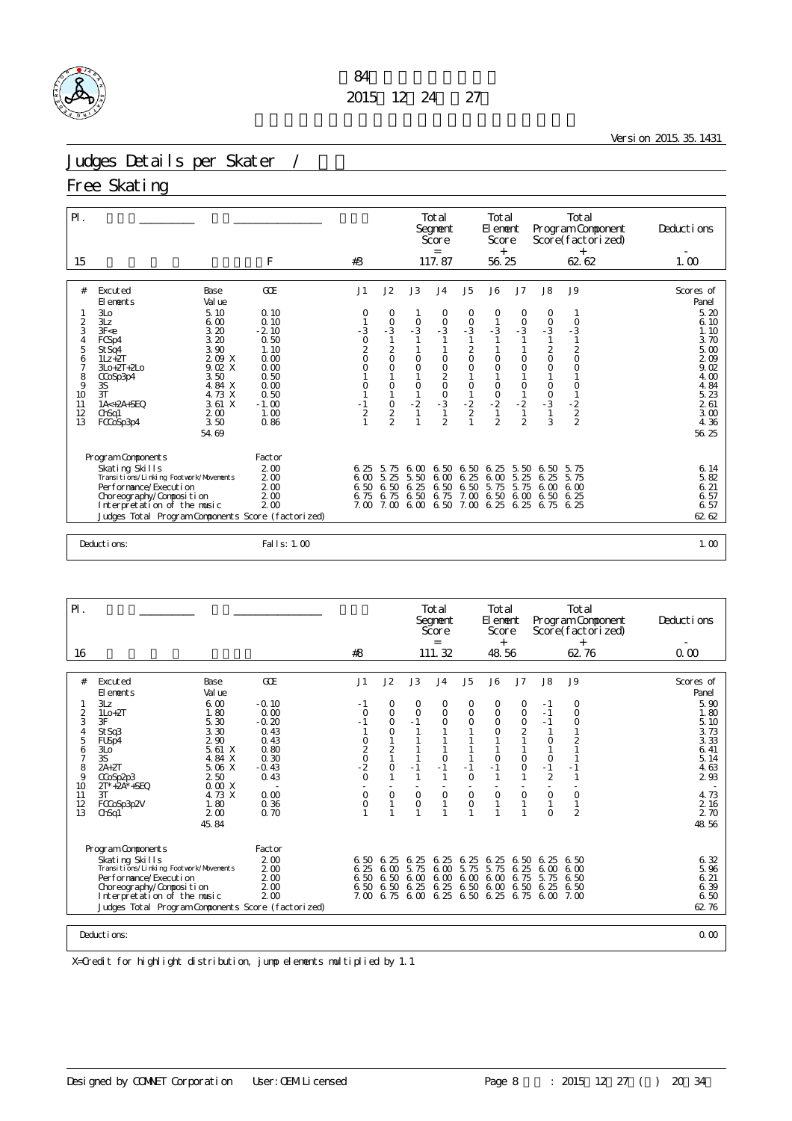

Version 2015.35.1431

# Judges Details per Skater / 2009 - 1999 - 1999 - 1999 - 1999 - 1999 - 1999 - 1999 - 1999 - 1999 - 1999 - 1999 - 1999 - 1999 - 1999 - 1999 - 1999 - 1999 - 1999 - 1999 - 1999 - 1999 - 1999 - 1999 - 1999 - 1999 - 1999 - 1999

## Free Skating

| $^{+}$<br>$^{+}$<br>117.87<br>56.25<br>62 62<br>F<br>#3<br>1.00<br>15<br>J2<br>J3<br>J8<br><b>J9</b><br>GOE<br>J <sub>4</sub><br>J5<br>J7<br><b>Excuted</b><br>J <sub>1</sub><br>J6<br>#<br>Base<br>El ements<br>Val ue<br>5.10<br>3L <sub>O</sub><br>0.10<br>0<br>$\circ$<br>$\circ$<br>$\circ$<br>O<br>$\circ$<br>0<br>$\frac{0}{3}$<br>$\frac{0}{3}$<br>$\frac{0}{3}$<br>$\frac{0}{3}$<br>3Lz<br>6.00<br>0.10<br>$\begin{matrix}0\\ -3\end{matrix}$<br>$\begin{matrix}0\\ -3\end{matrix}$<br>$\circ$<br>2<br>$-3$<br>- 3<br>$-3$<br>3.20<br>3<br>3F < e<br>$-2.10$<br>$\begin{matrix} 0 \\ 2 \\ 0 \end{matrix}$<br>$\begin{array}{c} 1 \\ 2 \\ 0 \end{array}$<br>3.20<br>$\mathbf{1}$<br>$\mathbf{1}$<br>$\mathbf{1}$<br>$\mathbf{1}$<br>0.50<br>$\mathbf{1}$<br>$\mathbf{1}$<br>FCSp4<br>4<br>$\begin{matrix} 2 \\ 0 \\ 0 \end{matrix}$<br>$\frac{2}{0}$<br>$_{\rm 0}^2$<br>3.90<br>$\mathbf{1}$<br>$\mathbf{1}$<br>1.10<br>5<br>St Sq4<br>$_{0}^{0}$<br>$\mathsf O$<br>$\mathsf O$<br>$_{0}^{0}$<br>2.09 X<br>0.00<br>$1Lz + 2T$<br>6<br>$\overline{O}$<br>$\circ$<br>$\circ$<br>$\circ$<br>$\circ$<br>$\circ$<br>9.02X<br>0.00<br>$3L0+2T+2L0$<br>$\frac{2}{3}$<br>$\mathbf{1}$<br>$\begin{array}{c} 1 \\ 0 \\ 1 \\ -2 \\ 2 \end{array}$<br>$\mathbf{1}$<br>3.50<br>0.50<br>$\mathbf{1}$<br>$\mathbf{1}$<br>8<br>CCoSp3p4<br>$\frac{0}{1}$<br>$\begin{smallmatrix}0\\1\end{smallmatrix}$<br>$\begin{array}{c}\n0 \\ 0 \\ 2\n\end{array}$<br>9<br>3S<br>$\circ$<br>$\circ$<br>$\circ$<br>$\mathbf 0$<br>4.84 X<br>0.00<br>1<br>3T<br>$\frac{0}{3}$<br>$\mathbf{1}$<br>$\mathbf{1}$<br>4.73 X<br>0.50<br>10<br>$-2$<br>$-2$<br>$\frac{2}{2}$<br>$\mathsf O$<br>$-1.00$<br>$-1$<br>$1A<+2A+SEO$<br>3.61 X<br>11<br>$\overline{2}$<br>$\overline{2}$<br>$\mathbf{1}$<br>$\mathbf{1}$<br>$\mathbf{1}$<br>12<br>1.00<br>$\mathbf{1}$<br>200<br>Ch <sub>Sq1</sub><br>$\overline{2}$<br>$\overline{2}$<br>$\overline{2}$<br>3<br>$\overline{2}$<br>3.50<br>0.86<br>13<br>$\mathbf{1}$<br>FCCoSp3p4<br>54.69<br>Program Components<br>Factor<br>Skating Skills<br>$2\omega$<br>5.75<br>6.50<br>6.50<br>6.25<br>5.50<br>6.50<br>5.75<br>6.25<br>6,00<br>Transi ti ons/Li nki ng Footvork/Movements<br>$2\omega$<br>5.25<br>5.25<br>6 <sub>0</sub><br>5.50<br>6.25<br>600<br>6.25<br>6.00<br>5.75<br>$2\omega$<br>Performance/Execution<br>6.50<br>6.50<br>6.25<br>6.50<br>5.75<br>5.75<br>6.50<br>6,00<br>600<br>$2\omega$<br>6.75<br>6.75<br>6.75<br>6.50<br>6.50<br>Choreography/Composition<br>7.00<br>6.00<br>6.50<br>6.25<br>$2\omega$<br>6.25<br>Interpretation of the music<br>7.00<br>6.00<br>6.50<br>7.00<br>6.25<br>7.00<br>6.75<br>6.25<br>Judges Total Program Components Score (factorized) | $\mathsf{PI}$ . |  |  | Total<br>Segnent<br>Score<br>$=$ | Total<br>El ement<br>Score |  | Tot al<br>Program Component<br>Score(factorized) | Deductions                                                                                                                          |
|------------------------------------------------------------------------------------------------------------------------------------------------------------------------------------------------------------------------------------------------------------------------------------------------------------------------------------------------------------------------------------------------------------------------------------------------------------------------------------------------------------------------------------------------------------------------------------------------------------------------------------------------------------------------------------------------------------------------------------------------------------------------------------------------------------------------------------------------------------------------------------------------------------------------------------------------------------------------------------------------------------------------------------------------------------------------------------------------------------------------------------------------------------------------------------------------------------------------------------------------------------------------------------------------------------------------------------------------------------------------------------------------------------------------------------------------------------------------------------------------------------------------------------------------------------------------------------------------------------------------------------------------------------------------------------------------------------------------------------------------------------------------------------------------------------------------------------------------------------------------------------------------------------------------------------------------------------------------------------------------------------------------------------------------------------------------------------------------------------------------------------------------------------------------------------------------------------------------------------------------------------------------------------------------------------------------------------------------------------------------------------------------------------------------------------------------------------------------------------------------------------------------------------------------------------------------------------------------------------------------------------------------------------------------------------------------------|-----------------|--|--|----------------------------------|----------------------------|--|--------------------------------------------------|-------------------------------------------------------------------------------------------------------------------------------------|
|                                                                                                                                                                                                                                                                                                                                                                                                                                                                                                                                                                                                                                                                                                                                                                                                                                                                                                                                                                                                                                                                                                                                                                                                                                                                                                                                                                                                                                                                                                                                                                                                                                                                                                                                                                                                                                                                                                                                                                                                                                                                                                                                                                                                                                                                                                                                                                                                                                                                                                                                                                                                                                                                                                      |                 |  |  |                                  |                            |  |                                                  |                                                                                                                                     |
|                                                                                                                                                                                                                                                                                                                                                                                                                                                                                                                                                                                                                                                                                                                                                                                                                                                                                                                                                                                                                                                                                                                                                                                                                                                                                                                                                                                                                                                                                                                                                                                                                                                                                                                                                                                                                                                                                                                                                                                                                                                                                                                                                                                                                                                                                                                                                                                                                                                                                                                                                                                                                                                                                                      |                 |  |  |                                  |                            |  |                                                  | Scores of<br>Panel<br>5.20<br>6.10<br>1.10<br>3.70<br>5.00<br>2.09<br>9.02<br>4.00<br>4.84<br>5.23<br>2.61<br>3.00<br>4.36<br>56.25 |
| Deductions:<br>Fal I s: 1.00                                                                                                                                                                                                                                                                                                                                                                                                                                                                                                                                                                                                                                                                                                                                                                                                                                                                                                                                                                                                                                                                                                                                                                                                                                                                                                                                                                                                                                                                                                                                                                                                                                                                                                                                                                                                                                                                                                                                                                                                                                                                                                                                                                                                                                                                                                                                                                                                                                                                                                                                                                                                                                                                         |                 |  |  |                                  |                            |  |                                                  | 6.14<br>5.82<br>6.21<br>6.57<br>6.57<br>62 62<br>1.00                                                                               |

| $\mathsf{P}$ .                                                                                                                                                                                                                                                                                                                                                                                                                       |                                                                                                                     |                                                                                                        |                                                                                                  |                                                    | Total<br>Segnent<br>Score<br>$=$                                         |                                                                               | Total<br>El ement<br>Score<br>$+$                                      |                                                                                      |                                                                                                                        | <b>Total</b><br>Program Component<br>Score(factorized)<br>$^{+}$                                                                               | Deductions                                                                                                                   |
|--------------------------------------------------------------------------------------------------------------------------------------------------------------------------------------------------------------------------------------------------------------------------------------------------------------------------------------------------------------------------------------------------------------------------------------|---------------------------------------------------------------------------------------------------------------------|--------------------------------------------------------------------------------------------------------|--------------------------------------------------------------------------------------------------|----------------------------------------------------|--------------------------------------------------------------------------|-------------------------------------------------------------------------------|------------------------------------------------------------------------|--------------------------------------------------------------------------------------|------------------------------------------------------------------------------------------------------------------------|------------------------------------------------------------------------------------------------------------------------------------------------|------------------------------------------------------------------------------------------------------------------------------|
| 16                                                                                                                                                                                                                                                                                                                                                                                                                                   |                                                                                                                     | #8                                                                                                     |                                                                                                  |                                                    | 111.32                                                                   |                                                                               | 48.56                                                                  |                                                                                      |                                                                                                                        | 62 76                                                                                                                                          | 0.00                                                                                                                         |
| #<br><b>Excuted</b><br>Base<br>Val ue<br>El ements<br>3Lz<br>6.00<br>$\overline{2}$<br>$1L0+2T$<br>1.80<br>3<br>3F<br>5.30<br>3.30<br>4<br>St Sq3<br>5<br>290<br>FUS <sub>p4</sub><br>5.61 X<br>3L <sub>0</sub><br>6<br>7<br>3S<br>4.84 X<br>8<br>$2A+2T$<br>5.06 X<br>9<br>2 50<br>$C\text{CoSp2p3}$<br>0.00X<br>10<br>$2T^*+2A^*+SEQ$<br>3T<br>4.73 X<br>11<br>1.80<br>12<br>FCCoSp3p2V<br>13<br>200<br>Ch <sub>Sq1</sub><br>45.84 | <b>GOE</b><br>$-0.10$<br>0.00<br>$-0.20$<br>0.43<br>0.43<br>0.80<br>0.30<br>$-0.43$<br>0.43<br>0.00<br>0.36<br>0.70 | J1<br>- 1<br>$\Omega$<br>$-1$<br>$\mathsf O$<br>$\frac{2}{0}$<br>- 2<br>$\Omega$<br>$\circ$<br>$\circ$ | J2<br>0<br>$\circ$<br>$\circ$<br>$\circ$<br>$\overline{c}$<br>$\mathbf{1}$<br>$\circ$<br>$\circ$ | J3<br>0<br>$\circ$<br>$-1$<br>$-1$<br>$\circ$<br>O | J <sub>4</sub><br>0<br>$\circ$<br>$\Omega$<br>$\circ$<br>$-1$<br>$\circ$ | J <sub>5</sub><br>0<br>$\circ$<br>$\circ$<br>$-1$<br>$\Omega$<br>$\circ$<br>0 | J6<br>0<br>$\circ$<br>$\circ$<br>$\circ$<br>$\circ$<br>$-1$<br>$\circ$ | J7<br>0<br>$\circ$<br>$\mathsf O$<br>$\overline{a}$<br>$\circ$<br>$\circ$<br>$\circ$ | J8<br>$-1$<br>$-1$<br>$-1$<br>$\mathbf{1}$<br>$\circ$<br>$\circ$<br>$-1$<br>$\overline{2}$<br>$\circ$<br>1<br>$\Omega$ | <b>J9</b><br>$\circ$<br>$\circ$<br>$\overline{O}$<br>$\overline{c}$<br>$-1$<br>$\overline{1}$<br>$\mathbf 0$<br>$\mathbf{1}$<br>$\overline{2}$ | Scores of<br>Panel<br>5.90<br>1.80<br>5.10<br>3.73<br>3.33<br>6.41<br>5.14<br>4.63<br>2.93<br>4.73<br>2 1 6<br>2.70<br>48.56 |
| Program Components<br>Skating Skills<br>Transi ti ons/Li nki ng Footvork/Movements<br>Performance/Execution<br>Choreography/Composition<br>Interpretation of the music<br>Judges Total Program Components Score (factorized)<br>Deductions:                                                                                                                                                                                          | Factor<br>$2\omega$<br>$2\omega$<br>$2\omega$<br>2.00<br>$2\omega$                                                  | 6.50<br>6.25<br>6.50<br>6.50<br>$7 \Omega$                                                             | 6.25<br>6.00<br>6.50<br>6.50<br>6.75                                                             | 6.25<br>75<br>.5.<br>6.00<br>6.25<br>6.00          | 6.25<br>6.00<br>6.00<br>6.25<br>6.25                                     | 6.25<br>75<br>5.<br>600<br>6.50<br>6.50                                       | 6.25<br>5.75<br>600<br>600<br>6.25                                     | 6.50<br>6.25<br>75<br>6.<br>6.50<br>6.75                                             | 6.25<br>6 <sub>0</sub><br>5.75<br>6.25<br>6.00                                                                         | 6.50<br>6 <sub>0</sub><br>6.50<br>6.50<br>7.00                                                                                                 | 6.32<br>5.96<br>6.21<br>6.39<br>6.50<br>62 76<br>0.00                                                                        |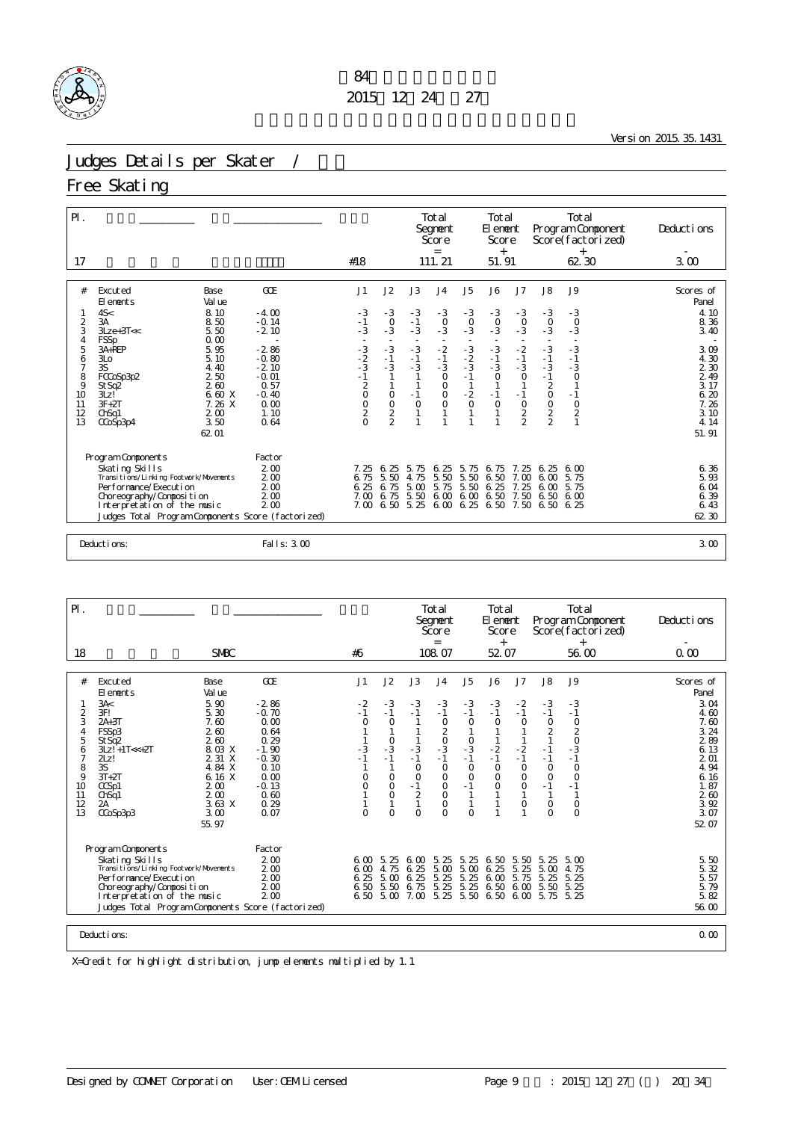

Version 2015.35.1431

# Judges Details per Skater / 2009 - 1999 - 1999 - 1999 - 1999 - 1999 - 1999 - 1999 - 1999 - 1999 - 1999 - 1999 - 1999 - 1999 - 1999 - 1999 - 1999 - 1999 - 1999 - 1999 - 1999 - 1999 - 1999 - 1999 - 1999 - 1999 - 1999 - 1999

## Free Skating

| $\mathsf{PI}$ .                               |                                                                                                                                                                                                                              |                                                                                          |                                                                                     |                                                                            |                                                                                                                |                                                                         | Total<br>Segnent<br>Score<br>$=$                                                                        |                                               | Total<br>El ement<br>Score<br>$^{+}$                                                     |                                                                                                        |                                                                                    | Tot al<br>Program Component<br>Score(factorized)<br>$^{+}$                                                 | Deductions                                                                     |
|-----------------------------------------------|------------------------------------------------------------------------------------------------------------------------------------------------------------------------------------------------------------------------------|------------------------------------------------------------------------------------------|-------------------------------------------------------------------------------------|----------------------------------------------------------------------------|----------------------------------------------------------------------------------------------------------------|-------------------------------------------------------------------------|---------------------------------------------------------------------------------------------------------|-----------------------------------------------|------------------------------------------------------------------------------------------|--------------------------------------------------------------------------------------------------------|------------------------------------------------------------------------------------|------------------------------------------------------------------------------------------------------------|--------------------------------------------------------------------------------|
| 17                                            |                                                                                                                                                                                                                              |                                                                                          |                                                                                     | #18                                                                        |                                                                                                                |                                                                         | 111.21                                                                                                  |                                               | 51.91                                                                                    |                                                                                                        |                                                                                    | 62 30                                                                                                      | 3.00                                                                           |
| #<br>2<br>3                                   | <b>Excuted</b><br>El ements<br>4S<<br>3A<br>$3$ Lze+ $3$ T<<                                                                                                                                                                 | Base<br>Val ue<br>8.10<br>8.50<br>5.50                                                   | GOE<br>$-4.00$<br>$-0.14$<br>$-2.10$                                                | J1<br>$-3$<br>$\frac{-1}{3}$                                               | J2<br>$-3$<br>$\frac{0}{-3}$                                                                                   | J3<br>$-3$<br>$-1$<br>$-3$                                              | J <sub>4</sub><br>$-3$<br>$\frac{0}{3}$                                                                 | J5<br>$-3$<br>$\frac{0}{3}$                   | J6<br>$-3$<br>$\frac{0}{3}$                                                              | J7<br>$-3$<br>$\frac{0}{3}$                                                                            | J8<br>$-3$<br>$\frac{0}{3}$                                                        | <b>J9</b><br>$-3$<br>$\circ$<br>$-3$                                                                       | Scores of<br>Panel<br>4.10<br>8.36<br>3.40                                     |
| 4<br>5<br>6<br>8<br>9<br>10<br>11<br>12<br>13 | <b>FSSp</b><br>3A+REP<br>3L <sub>O</sub><br>3S<br>FCCoSp3p2<br>St Sq2<br>3Lz!<br>$3F+2T$<br>ChSq1<br>CCoSp3p4                                                                                                                | 0.00<br>5.95<br>5.10<br>4.40<br>2 50<br>2.60<br>6.60 X<br>7.26 X<br>200<br>3.50<br>62.01 | $-2.86$<br>$-0.80$<br>$-2.10$<br>$-0.01$<br>0.57<br>$-0.40$<br>0.00<br>1.10<br>0.64 | $-3$<br>$-2$<br>$-3$<br>$-1$<br>$\frac{2}{0}$<br>$\frac{0}{2}$<br>$\Omega$ | $-3$<br>$-1$<br>$-3$<br>$\mathbf{1}$<br>$\mathbf{1}$<br>$\circ$<br>$\circ$<br>$\overline{2}$<br>$\overline{2}$ | $-3$<br>$-1$<br>$-3$<br>$-1$<br>$\circ$<br>$\mathbf{1}$<br>$\mathbf{1}$ | $-2$<br>$-1$<br>$-3$<br>$\circ$<br>$\circ$<br>$\overline{O}$<br>$\circ$<br>$\mathbf{1}$<br>$\mathbf{1}$ | $-3$<br>$-2$<br>$-3$<br>$-1$<br>$\frac{1}{2}$ | $-3$<br>$\frac{1}{3}$<br>$\circ$<br>$\mathbf{1}$<br>$-1$<br>$\circ$<br>$\mathbf{1}$<br>1 | $-2$<br>$-1$<br>$-3$<br>$\circ$<br>$\mathbf{1}$<br>$-1$<br>$\circ$<br>$\overline{2}$<br>$\overline{2}$ | $-3$<br>$\frac{-1}{3}$<br>$-1$<br>$\frac{2}{0}$<br>$\frac{0}{2}$<br>$\overline{2}$ | $-3$<br>$-1$<br>$-3$<br>$\mathbf 0$<br>$\mathbf{1}$<br>$-1$<br>$\circ$<br>$\overline{a}$<br>$\overline{1}$ | 3.09<br>4.30<br>2 3 0<br>2.49<br>3.17<br>6.20<br>7.26<br>3.10<br>4.14<br>51.91 |
|                                               | Program Components<br>Skating Skills<br>Transi ti ons/Li nki ng Footvork/Movements<br>Performance/Execution<br>Choreography/Composition<br>Interpretation of the music<br>Judges Total Program Components Score (factorized) |                                                                                          | Factor<br>$2\omega$<br>$2\omega$<br>$2\omega$<br>$2\omega$<br>$2\omega$             | 7.25<br>6.75<br>6.25<br>7.00<br>7.00                                       | 6.25<br>5.50<br>6.75<br>6.75<br>6.50                                                                           | .5.<br>-75<br>4.75<br>5.00<br>5.50<br>5.25                              | 6.25<br>5.50<br>5.75<br>6.00<br>6.00                                                                    | 5.75<br>5.50<br>5.50<br>6.00<br>6.25          | 6.75<br>6.50<br>6.25<br>6.50<br>6.50                                                     | 7.25<br>7.00<br>7.25<br>7.50<br>7.50                                                                   | 6.25<br>6.00<br>6.00<br>6.50<br>6.50                                               | 600<br>5.75<br>5.75<br>600<br>6.25                                                                         | 6.36<br>5.93<br>6.04<br>6.39<br>6.43<br>62 30                                  |
|                                               | Deductions:                                                                                                                                                                                                                  |                                                                                          | Fall s: 3.00                                                                        |                                                                            |                                                                                                                |                                                                         |                                                                                                         |                                               |                                                                                          |                                                                                                        |                                                                                    |                                                                                                            | 3.00                                                                           |

| $\mathsf{P}$ .                                                                                                                                                                                                                                                                                                                                                                                  |                                                                                                                                   |                                                                            |                                                                                                        |                                                                                                     | Total<br>Segnent<br>Score<br>$=$                                                                                                        |                                                                                                                                   | Total<br>El ement<br>Score<br>$+$                                               |                                                                                                           |                                                                                                                               | Total<br>Program Component<br>Score(factorized)                                                                                                | Deductions                                                                                                                         |
|-------------------------------------------------------------------------------------------------------------------------------------------------------------------------------------------------------------------------------------------------------------------------------------------------------------------------------------------------------------------------------------------------|-----------------------------------------------------------------------------------------------------------------------------------|----------------------------------------------------------------------------|--------------------------------------------------------------------------------------------------------|-----------------------------------------------------------------------------------------------------|-----------------------------------------------------------------------------------------------------------------------------------------|-----------------------------------------------------------------------------------------------------------------------------------|---------------------------------------------------------------------------------|-----------------------------------------------------------------------------------------------------------|-------------------------------------------------------------------------------------------------------------------------------|------------------------------------------------------------------------------------------------------------------------------------------------|------------------------------------------------------------------------------------------------------------------------------------|
| 18<br><b>SNBC</b>                                                                                                                                                                                                                                                                                                                                                                               |                                                                                                                                   | #6                                                                         |                                                                                                        |                                                                                                     | 108.07                                                                                                                                  |                                                                                                                                   | 52.07                                                                           |                                                                                                           |                                                                                                                               | $^{+}$<br>56.00                                                                                                                                | 0.00                                                                                                                               |
| #<br><b>Excuted</b><br>Base<br>Val ue<br>El ements<br>3A<<br>5.90<br>3FI<br>$\overline{2}$<br>5.30<br>3<br>7.60<br>$2A+3T$<br>260<br>FSSp3<br>4<br>260<br>5<br>St Sq <sub>2</sub><br>8.03 X<br>$3Lz! + 1T < +2T$<br>6<br>7<br>2 z <br>2 31 X<br>3S<br>8<br>4.84 X<br>9<br>$3T+2T$<br>6.16 X<br>200<br>10<br>CCSp1<br>200<br>ChSq1<br>11<br>3.63X<br>12<br>2A<br>13<br>3.00<br>CCoSp3p3<br>55.97 | <b>GOE</b><br>$-2.86$<br>$-0.70$<br>0.00<br>0.64<br>0.29<br>$-1.90$<br>$-0.30$<br>0.10<br>0.00<br>$-0.13$<br>0.60<br>0.29<br>0.07 | J1<br>$-2$<br>$-1$<br>$\Omega$<br>$-3$<br>$-1$<br>$\circ$<br>O<br>$\Omega$ | J2<br>$-3$<br>$-1$<br>$\Omega$<br>$\circ$<br>$-3$<br>$-1$<br>$\circ$<br>$\circ$<br>$\circ$<br>$\Omega$ | J3<br>$-3$<br>$-1$<br>$-3$<br>$-1$<br>$\circ$<br>$\circ$<br>$-1$<br>$\overline{2}$<br>1<br>$\Omega$ | J <sub>4</sub><br>$-3$<br>$-1$<br>$\circ$<br>$\frac{2}{0}$<br>$-3$<br>$-1$<br>$\circ$<br>$\circ$<br>$\circ$<br>$\circ$<br>0<br>$\Omega$ | J <sub>5</sub><br>$-3$<br>$-1$<br>$\circ$<br>$\begin{matrix}0\\ -3\end{matrix}$<br>$-1$<br>$\circ$<br>$\circ$<br>$-1$<br>$\Omega$ | J6<br>$-3$<br>$-1$<br>$\Omega$<br>$-2$<br>$-1$<br>$\circ$<br>$\circ$<br>$\circ$ | J7<br>$-2$<br>$-1$<br>$\Omega$<br>$-2$<br>$-\overline{1}$<br>$\circ$<br>$\mathbf 0$<br>$\circ$<br>$\circ$ | J8<br>$-3$<br>$-1$<br>$\circ$<br>$\frac{2}{1}$<br>$-1$<br>$-1$<br>$\circ$<br>$\circ$<br>$-1$<br>$\mathbf{1}$<br>0<br>$\Omega$ | <b>J9</b><br>$-3$<br>$-1$<br>$\mathbf 0$<br>$\frac{2}{0}$<br>$-3$<br>$-1$<br>$\circ$<br>$\circ$<br>$-1$<br>$\mathbf{1}$<br>$\circ$<br>$\Omega$ | Scores of<br>Panel<br>3.04<br>4.60<br>7.60<br>3.24<br>289<br>6.13<br>2.01<br>4.94<br>6.16<br>1.87<br>2.60<br>3.92<br>3.07<br>52.07 |
| Program Components<br>Skating Skills<br>Transi ti ons/Li nki ng Footvork/Movements<br>Performance/Execution<br>Choreography/Composition<br>Interpretation of the music<br>Judges Total Program Components Score (factorized)<br>Deductions:                                                                                                                                                     | Factor<br>$2\omega$<br>$2\omega$<br>$2\omega$<br>2.00<br>$2\omega$                                                                | 6 <sub>0</sub><br>6 <sub>0</sub><br>6.25<br>6.50<br>6.50                   | 5.25<br>4.75<br>5.00<br>5.50<br>5.00                                                                   | 6.00<br>6.25<br>6.25<br>75<br>6.<br>7.00                                                            | 5.25<br>5.00<br>5.25<br>5.25<br>5.25                                                                                                    | 5.<br>25<br>5.00<br>5.<br>25<br>5.<br>25<br>5.50                                                                                  | 6.50<br>6.25<br>6,00<br>6.50<br>6.50                                            | 5.50<br>-5.<br>25<br>75<br>5.<br>6 <sub>0</sub><br>6.00                                                   | 5.25<br>5.00<br>5.25<br>5.50<br>5.75                                                                                          | 5 <sub>0</sub><br>4.75<br>5.25<br>5.25<br>5.25                                                                                                 | 5.50<br>5.32<br>5.57<br>5.79<br>5.82<br>56.00<br>0.00                                                                              |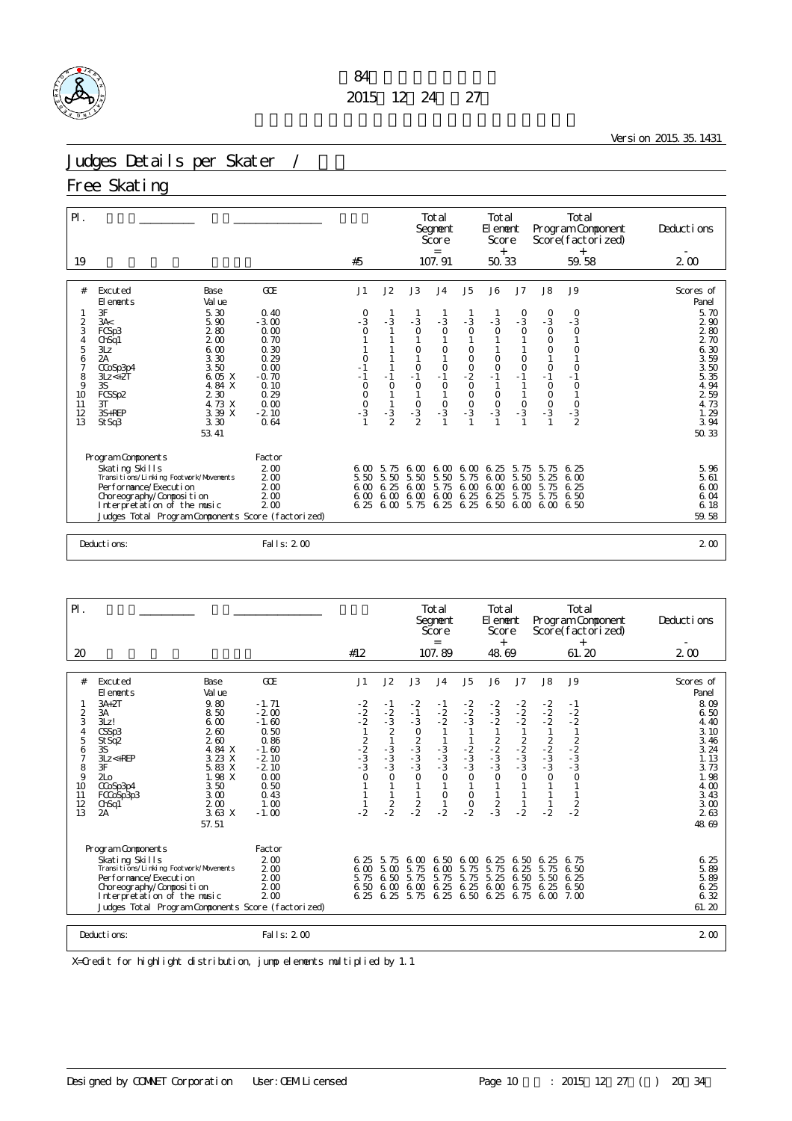

Version 2015.35.1431

# Judges Details per Skater / 2009 - 1999 - 1999 - 1999 - 1999 - 1999 - 1999 - 1999 - 1999 - 1999 - 1999 - 1999 - 1999 - 1999 - 1999 - 1999 - 1999 - 1999 - 1999 - 1999 - 1999 - 1999 - 1999 - 1999 - 1999 - 1999 - 1999 - 1999

## Free Skating

| $\mathsf{PI}$ .                                                                                                                                                                                                                                                                                                                                        |                                                                                                                             |                                                                                                                          |                                                                                                                               |                                                                                                                                                      | Total<br>Segnent<br>Score<br>$=$                                                                                                                |                                | Total<br>El enent<br>Score<br>$+$                                                             |                                                                                                                             |                                                                                                                                                                         | Tot al<br>Program Component<br>Score(factorized)<br>$^{+}$                                            | Deductions                                                                                                                        |
|--------------------------------------------------------------------------------------------------------------------------------------------------------------------------------------------------------------------------------------------------------------------------------------------------------------------------------------------------------|-----------------------------------------------------------------------------------------------------------------------------|--------------------------------------------------------------------------------------------------------------------------|-------------------------------------------------------------------------------------------------------------------------------|------------------------------------------------------------------------------------------------------------------------------------------------------|-------------------------------------------------------------------------------------------------------------------------------------------------|--------------------------------|-----------------------------------------------------------------------------------------------|-----------------------------------------------------------------------------------------------------------------------------|-------------------------------------------------------------------------------------------------------------------------------------------------------------------------|-------------------------------------------------------------------------------------------------------|-----------------------------------------------------------------------------------------------------------------------------------|
| 19                                                                                                                                                                                                                                                                                                                                                     |                                                                                                                             | #5                                                                                                                       |                                                                                                                               |                                                                                                                                                      | 107.91                                                                                                                                          |                                | 50.33                                                                                         |                                                                                                                             |                                                                                                                                                                         | 59.58                                                                                                 | 200                                                                                                                               |
| <b>Excuted</b><br>#<br>Base<br>FI ements<br>Val ue<br>3F<br>5.30<br>3A<<br>5.90<br>2<br>3<br>2.80<br>FCSp3<br>200<br>ChSq1<br>4<br>6.00<br>5<br>3Lz<br>3.30<br>2A<br>6<br>3.50<br>CCoSp3p4<br>6.05 X<br>8<br>$3Lz < +2T$<br>3S<br>9<br>4.84 X<br>FCSSp2<br>2.30<br>10<br>4.73 X<br>11<br>3T<br>12<br>3.39 X<br>3S+REP<br>3.30<br>13<br>St Sq3<br>53.41 | <b>GOE</b><br>0.40<br>$-3.00$<br>0.00<br>0.70<br>0.30<br>0.29<br>0.00<br>$-0.70$<br>0.10<br>0.29<br>0.00<br>$-2.10$<br>0.64 | J1<br>$\frac{0}{3}$<br>$\overline{O}$<br>$\circ$<br>$-1$<br>$-1$<br>$\circ$<br>$\begin{matrix} 0 \\ 0 \\ 3 \end{matrix}$ | J2<br>$-3$<br>$\overline{1}$<br>$\overline{1}$<br>$-1$<br>$\circ$<br>$\mathbf{1}$<br>$\overline{1}$<br>$-3$<br>$\overline{2}$ | J3<br>$-3$<br>$\circ$<br>$\begin{smallmatrix}0\\1\end{smallmatrix}$<br>$\circ$<br>$-1$<br>$\circ$<br>$\mathbf{1}$<br>$\frac{0}{3}$<br>$\overline{2}$ | J <sub>4</sub><br>$-3$<br>$\circ$<br>$\mathbf{1}$<br>0<br>$\mathbf{1}$<br>$\mathbf 0$<br>$-1$<br>$\circ$<br>$\mathbf{1}$<br>$\mathbf 0$<br>$-3$ | J5<br>$-3$<br>$\circ$          | J6<br>$-3$<br>$\circ$<br>$\begin{matrix} 0 \\ 0 \end{matrix}$<br>$-1$<br>$\frac{0}{0}$<br>- 3 | J7<br>$\begin{smallmatrix}0\\-3\end{smallmatrix}$<br>$\circ$<br>$\mathbf{1}$<br>$_{\rm O}^{\rm O}$<br>$-1$<br>$\frac{0}{3}$ | J8<br>$\begin{smallmatrix}0\\-3\end{smallmatrix}$<br>$\circ$<br>$\mathsf{O}\xspace$<br>$\mathsf O$<br>$\mathbf{1}$<br>$\circ$<br>$-1$<br>$\circ$<br>$\frac{0}{0}$<br>-3 | <b>J9</b><br>0<br>$-3$<br>$\circ$<br>$\circ$<br>$\circ$<br>$-1$<br>0<br>$\mathbf{1}$<br>$\frac{0}{3}$ | Scores of<br>Panel<br>5.70<br>290<br>280<br>2.70<br>6.30<br>3.59<br>3.50<br>5.35<br>4.94<br>2.59<br>4.73<br>1.29<br>3.94<br>50.33 |
| Program Components<br>Skating Skills<br>Transi ti ons/Li nki ng Footvork/Movements<br>Performance/Execution<br>Choreography/Composition<br>Interpretation of the music<br>Judges Total Program Components Score (factorized)<br>Deductions:                                                                                                            | Factor<br>$2\omega$<br>$2\omega$<br>$2\omega$<br>$2\omega$<br>$2\omega$<br>Fall s: 200                                      | 6. M<br>5.50<br>6 <sub>0</sub><br>6 <sub>0</sub><br>6.25                                                                 | 5.<br>75<br>5.50<br>6.25<br>6.00<br>600                                                                                       | $\infty$<br>6.<br>5.<br>50<br>6.00<br>6.00<br>5.75                                                                                                   | 6 <sub>0</sub><br>5.50<br>5.75<br>6.00<br>6.25                                                                                                  | 6 M<br>5.<br>75<br>600<br>6.25 | 25<br>6<br>6.00<br>6.00<br>6.25<br>6, 25, 6, 50                                               | 5.<br>75<br>5.50<br>6.00<br>5.75<br>6.00                                                                                    | 5.<br>75<br>5.<br>25<br>75<br>5.<br>5.75<br>6.00                                                                                                                        | 6.25<br>6.00<br>6.25<br>6.50<br>6.50                                                                  | 5.96<br>5.61<br>6.00<br>6.04<br>6.18<br>59.58<br>200                                                                              |

| $\mathsf{P}$ .                                                                  |                                                                                                                                                                                                                                                                                                                      |                                                                                                                                         |                                                                        |                                                                                         |                                                                                        | Total<br>Segnent<br>Score<br>$=$                                                                                                          |                                                                                                                   | Total<br>El ement<br>Score<br>$+$                                                                         |                                                                                                                |                                                                                                                                | <b>Total</b><br>Program Component<br>Score(factorized)<br>$^{+}$                                                                 | Deductions                                                                                                                          |
|---------------------------------------------------------------------------------|----------------------------------------------------------------------------------------------------------------------------------------------------------------------------------------------------------------------------------------------------------------------------------------------------------------------|-----------------------------------------------------------------------------------------------------------------------------------------|------------------------------------------------------------------------|-----------------------------------------------------------------------------------------|----------------------------------------------------------------------------------------|-------------------------------------------------------------------------------------------------------------------------------------------|-------------------------------------------------------------------------------------------------------------------|-----------------------------------------------------------------------------------------------------------|----------------------------------------------------------------------------------------------------------------|--------------------------------------------------------------------------------------------------------------------------------|----------------------------------------------------------------------------------------------------------------------------------|-------------------------------------------------------------------------------------------------------------------------------------|
| 20                                                                              |                                                                                                                                                                                                                                                                                                                      |                                                                                                                                         | #12                                                                    |                                                                                         |                                                                                        | 107.89                                                                                                                                    |                                                                                                                   | 48.69                                                                                                     |                                                                                                                |                                                                                                                                | 61.20                                                                                                                            | 200                                                                                                                                 |
| #<br>$\frac{2}{3}$<br>4<br>5<br>6<br>7<br>$\frac{8}{9}$<br>10<br>11<br>12<br>13 | <b>Excuted</b><br>Base<br>Val ue<br>El ements<br>9.80<br>$3A+2T$<br>8.50<br>3A<br>6.00<br>3Lz!<br>2.60<br>CSSp3<br>2.60<br>St Sq2<br>4.84 X<br>3S<br>3.23 X<br>$3Lz < +REP$<br>5.83 X<br>3F<br>1.98 X<br>2 <sub>0</sub><br>3.50<br>CCoSp3p4<br>3.00<br>FCCoSp3p3<br>200<br>Ch <sub>Sq1</sub><br>3.63X<br>2A<br>57.51 | <b>CCE</b><br>$-1.71$<br>$-2.00$<br>$-1.60$<br>0.50<br>0.86<br>$-1.60$<br>$-2.10$<br>$-2.10$<br>0.00<br>0.50<br>0.43<br>1.00<br>$-1.00$ | J1<br>$-2$<br>$-2$<br>$-2$<br>$-2$<br>$-3$<br>$-3$<br>$\Omega$<br>$-2$ | J2<br>$-1$<br>$-2$<br>$-3$<br>$-3$<br>$-3$<br>$-3$<br>$-3$<br>$\Omega$<br>$\frac{2}{2}$ | J3<br>$-2$<br>$-1$<br>$-3$<br>$-2$<br>$-3$<br>$-3$<br>$-3$<br>$\circ$<br>$\frac{2}{2}$ | J <sub>4</sub><br>$-1$<br>$\frac{-2}{2}$<br>$\mathbf{1}$<br>$\frac{1}{3}$<br>$\frac{3}{3}$<br>$\frac{3}{3}$<br>$\circ$<br>$\circ$<br>$-2$ | J <sub>5</sub><br>$-2$<br>$-2$<br>$-3$<br>$\frac{1}{2}$<br>$\frac{2}{3}$<br>$\frac{3}{0}$<br>$\frac{0}{0}$<br>- 2 | J6<br>$-2$<br>$-3$<br>$-2$<br>$\frac{1}{2}$<br>$\frac{2}{3}$<br>$\frac{3}{3}$<br>$\circ$<br>$\frac{2}{3}$ | J7<br>$-2$<br>$-2$<br>$-2$<br>$\begin{array}{c} 1 \\ 2 \\ -2 \\ -3 \\ -3 \\ -3 \end{array}$<br>$\circ$<br>$-2$ | J8<br>$-2$<br>$-2$<br>$-2$<br>$\begin{array}{c} 1 \\ 2 \\ -2 \\ -3 \\ -3 \\ -3 \end{array}$<br>$\circ$<br>$\mathbf{1}$<br>$-2$ | <b>J9</b><br>$-1$<br>$\frac{-2}{2}$<br>$\begin{array}{c} 1 \\ 2 \\ -2 \\ -3 \\ -3 \end{array}$<br>$\circ$<br>$\frac{1}{2}$<br>-2 | Scores of<br>Panel<br>8.09<br>6.50<br>4.40<br>3.10<br>3.46<br>3.24<br>1.13<br>3.73<br>1.98<br>4.00<br>3.43<br>3.00<br>2.63<br>48.69 |
|                                                                                 | Program Components<br>Skating Skills<br>Transi ti ons/Li nki ng Footvork/Movements<br>Performance/Execution<br>Choreography/Composition<br>Interpretation of the music<br>Judges Total Program Components Score (factorized)                                                                                         | Factor<br>$2\omega$<br>2.00<br>$2\omega$<br>$2 \omega$<br>$2\omega$                                                                     | 6.25<br>6 <sub>0</sub><br>5.75<br>6.50<br>6.25                         | 5.<br>75<br>5.00<br>6.50<br>6.00<br>25<br>6                                             | 6,00<br>75<br>5.<br>5.<br>75<br>6.00<br>5.<br>75                                       | 6.50<br>600<br>5.<br>75<br>6.25<br>25<br>6                                                                                                | 600<br>75<br>5.<br>5.<br>75<br>25<br>6.<br>50<br>6.                                                               | 6.25<br>75<br>5.<br>5.<br>25<br>6.00<br>25<br>6.                                                          | 6.50<br>6.25<br>6.50<br>75<br>6.<br>75<br>6.                                                                   | 6.25<br>5.75<br>5.50<br>6.25<br>6.00                                                                                           | 6.75<br>6.50<br>6.25<br>6.50<br>7.00                                                                                             | 6.25<br>5.89<br>5.89<br>6.25<br>6.32<br>61.20                                                                                       |
|                                                                                 | Deductions:                                                                                                                                                                                                                                                                                                          | Fall s: 2 00                                                                                                                            |                                                                        |                                                                                         |                                                                                        |                                                                                                                                           |                                                                                                                   |                                                                                                           |                                                                                                                |                                                                                                                                |                                                                                                                                  | 200                                                                                                                                 |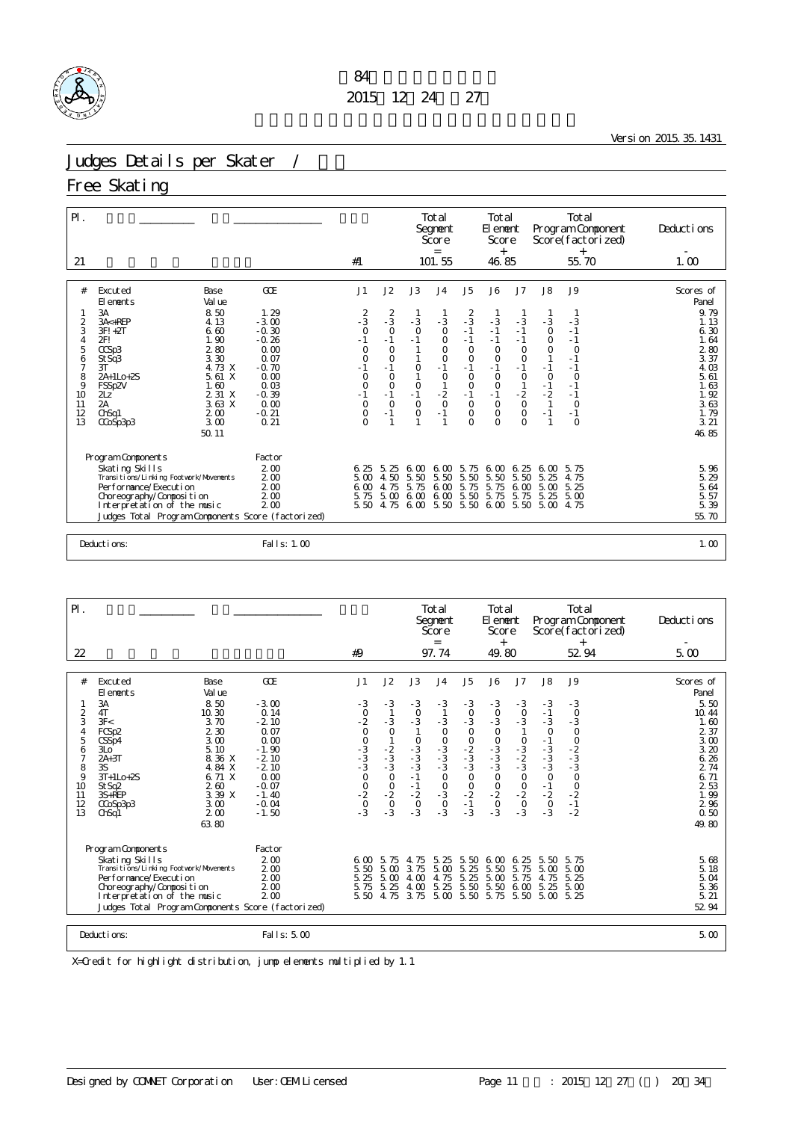

Version 2015.35.1431

# Judges Details per Skater / 2009 - 1999 - 1999 - 1999 - 1999 - 1999 - 1999 - 1999 - 1999 - 1999 - 1999 - 1999 - 1999 - 1999 - 1999 - 1999 - 1999 - 1999 - 1999 - 1999 - 1999 - 1999 - 1999 - 1999 - 1999 - 1999 - 1999 - 1999

## Free Skating

| $\mathsf{P}$ .                                                           |                                                                                                                                                                                                                                                                                                           |                                                                                                                                      |                                                                                                                                                                                        |                                                                                                                             |                                                                                                                                                    | Total<br>Segnent<br>Score<br>$=$                                                                                                             |                                                                                                                                                | Total<br>El ement<br>Score<br>$^{+}$                                                                          |                                                                                                                                      |                                                                                                                                          | Tot al<br>Program Component<br>Score(factorized)<br>$^{+}$                                                            | Deductions                                                                                                                         |
|--------------------------------------------------------------------------|-----------------------------------------------------------------------------------------------------------------------------------------------------------------------------------------------------------------------------------------------------------------------------------------------------------|--------------------------------------------------------------------------------------------------------------------------------------|----------------------------------------------------------------------------------------------------------------------------------------------------------------------------------------|-----------------------------------------------------------------------------------------------------------------------------|----------------------------------------------------------------------------------------------------------------------------------------------------|----------------------------------------------------------------------------------------------------------------------------------------------|------------------------------------------------------------------------------------------------------------------------------------------------|---------------------------------------------------------------------------------------------------------------|--------------------------------------------------------------------------------------------------------------------------------------|------------------------------------------------------------------------------------------------------------------------------------------|-----------------------------------------------------------------------------------------------------------------------|------------------------------------------------------------------------------------------------------------------------------------|
| 21                                                                       |                                                                                                                                                                                                                                                                                                           |                                                                                                                                      | #1                                                                                                                                                                                     |                                                                                                                             |                                                                                                                                                    | 101.55                                                                                                                                       |                                                                                                                                                | 46.85                                                                                                         |                                                                                                                                      |                                                                                                                                          | 55.70                                                                                                                 | 1.00                                                                                                                               |
| #<br>$\frac{2}{3}$<br>4<br>5<br>6<br>7<br>8<br>9<br>10<br>11<br>12<br>13 | <b>Excuted</b><br>Base<br>El ements<br>Val ue<br>3A<br>8.50<br>$3A+REP$<br>4.13<br>6.60<br>$3F! +2T$<br>2FI<br>1.90<br>280<br>CCSp3<br>3.30<br>St Sq3<br>4.73 X<br>3T<br>$2A+11$ $O+2S$<br>5.61X<br>1.60<br>FSSp2V<br>2.31X<br>$2\mathsf{L}z$<br>2A<br>3.63X<br>200<br>ChSa1<br>3.00<br>CCoSp3p3<br>50.11 | <b>GOE</b><br>1.29<br>$-3.00$<br>$-0.30$<br>$-0.26$<br>0.00<br>0.07<br>$-0.70$<br>0.00<br>0.03<br>$-0.39$<br>0.00<br>$-0.21$<br>0.21 | J <sub>1</sub><br>$\begin{array}{c} 2 \\ -3 \\ 0 \end{array}$<br>$-1$<br>$\begin{matrix} 0 \\ 0 \end{matrix}$<br>$-1$<br>$\circ$<br>$\Omega$<br>$-1$<br>$\circ$<br>$\circ$<br>$\Omega$ | J2<br>$\frac{2}{3}$<br>$-1$<br>$\circ$<br>$\circ$<br>$-1$<br>$\circ$<br>$\Omega$<br>$-1$<br>$\circ$<br>$-1$<br>$\mathbf{1}$ | J3<br>$-3$<br>$\circ$<br>$-1$<br>$\mathbf{1}$<br>$\mathbf{1}$<br>$\mathsf{O}\xspace$<br>$\begin{smallmatrix}0\\1\end{smallmatrix}$<br>$\circ$<br>O | J <sub>4</sub><br>$\frac{3}{0}$<br>$\circ$<br>$_{\rm O}^{\rm O}$<br>$-1$<br>$\circ$<br>$\mathbf{1}$<br>$\frac{2}{0}$<br>$-1$<br>$\mathbf{1}$ | J <sub>5</sub><br>$\frac{2}{3}$<br>$-1$<br>$-1$<br>$_{\rm O}^{\rm O}$<br>$-1$<br>$\circ$<br>$\bar{0}$<br>- 1<br>$\circ$<br>$\circ$<br>$\Omega$ | J6<br>$-3$<br>$-1$<br>$-1$<br>$_{0}^{0}$<br>$-1$<br>$\circ$<br>$\mathbf 0$<br>$-1$<br>$\circ$<br>$\circ$<br>O | J7<br>$-3$<br>$-1$<br>$-1$<br>$\circ$<br>$\overline{O}$<br>$-1$<br>$\circ$<br>$\mathbf{1}$<br>$-2$<br>$\circ$<br>$\circ$<br>$\Omega$ | J8<br>$-3$<br>$\circ$<br>$\circ$<br>$\circ$<br>$\mathbf{1}$<br>$-1$<br>$\circ$<br>$-1$<br>$-2$<br>$\overline{1}$<br>$-1$<br>$\mathbf{1}$ | <b>J9</b><br>$-3$<br>$-1$<br>$-1$<br>$\circ$<br>$-1$<br>$-1$<br>$\circ$<br>$-1$<br>$-1$<br>$\circ$<br>$-1$<br>$\circ$ | Scores of<br>Panel<br>9.79<br>1.13<br>6.30<br>1.64<br>280<br>3.37<br>4.03<br>5.61<br>1.63<br>1.92<br>3.63<br>1.79<br>3.21<br>46.85 |
|                                                                          | Program Components<br>Skating Skills<br>Transi ti ons/Li nki ng Footvork/Movements<br>Performance/Execution<br>Choreography/Composition<br>Interpretation of the music<br>Judges Total Program Components Score (factorized)                                                                              | Factor<br>2.00<br>2.00<br>$2\omega$<br>2.00<br>$2\omega$                                                                             | 6.25<br>$5 \Omega$<br>6 <sub>0</sub><br>5.75<br>5.50                                                                                                                                   | 5.25<br>4.50<br>4.75<br>5.00<br>4.75                                                                                        | 6.00<br>5.50<br>5.<br>75<br>6.00<br>6.00                                                                                                           | 6 <sub>0</sub><br>5.50<br>6 <sub>0</sub><br>6.00<br>5.50                                                                                     | 5.75<br>5.50<br>75<br>5.<br>5.50<br>5.50                                                                                                       | 6.00<br>5.50<br>5.75<br>75<br>5.<br>6.00                                                                      | 6.25<br>5.50<br>6.00<br>5.<br>75<br>5.50                                                                                             | 6.00<br>5.25<br>5.00<br>5.<br>25<br>5.00                                                                                                 | 5.75<br>4.75<br>5.25<br>5.00<br>4.75                                                                                  | 5.96<br>5.29<br>5.64<br>5.57<br>5.39<br>55.70                                                                                      |
|                                                                          | Deductions:                                                                                                                                                                                                                                                                                               | Fall s: 1.00                                                                                                                         |                                                                                                                                                                                        |                                                                                                                             |                                                                                                                                                    |                                                                                                                                              |                                                                                                                                                |                                                                                                               |                                                                                                                                      |                                                                                                                                          |                                                                                                                       | 1.00                                                                                                                               |

| $\mathsf{P}$ .                                                                 |                                                                                                                                                                                                                                                                                                           |                                                                                                                                        |                                                    |                                                                                              |                                                                                                                                                   | Total<br>Segnent<br><b>Score</b><br>$=$                                                                                        |                                                                                                                                    | Total<br>El ement<br>Score<br>$+$                                                                       |                                                                                                                                               |                                                                                                                              | <b>Total</b><br>Program Component<br>Score(factorized)<br>$^{+}$                                                 | Deductions |                                                                                                                                      |
|--------------------------------------------------------------------------------|-----------------------------------------------------------------------------------------------------------------------------------------------------------------------------------------------------------------------------------------------------------------------------------------------------------|----------------------------------------------------------------------------------------------------------------------------------------|----------------------------------------------------|----------------------------------------------------------------------------------------------|---------------------------------------------------------------------------------------------------------------------------------------------------|--------------------------------------------------------------------------------------------------------------------------------|------------------------------------------------------------------------------------------------------------------------------------|---------------------------------------------------------------------------------------------------------|-----------------------------------------------------------------------------------------------------------------------------------------------|------------------------------------------------------------------------------------------------------------------------------|------------------------------------------------------------------------------------------------------------------|------------|--------------------------------------------------------------------------------------------------------------------------------------|
| 22                                                                             |                                                                                                                                                                                                                                                                                                           |                                                                                                                                        | #9                                                 |                                                                                              |                                                                                                                                                   | 97.74                                                                                                                          |                                                                                                                                    | 49.80                                                                                                   |                                                                                                                                               |                                                                                                                              | 52 94                                                                                                            | 5.00       |                                                                                                                                      |
| #<br>$\overline{2}$<br>3<br>4<br>5<br>6<br>7<br>8<br>9<br>10<br>11<br>12<br>13 | <b>Excuted</b><br>Base<br>Val ue<br>El ements<br>3A<br>8.50<br>4T<br>10.30<br>3F<<br>3.70<br>2 3 0<br>FCSp2<br>3.00<br>CSSp4<br>5.10<br>3 <sub>LO</sub><br>8.36 X<br>$2A+3T$<br>3S<br>4.84 X<br>$3T+1Lo+2S$<br>6.71X<br>2.60<br>St Sq2<br>3.39 X<br>$3S+RFP$<br>3.00<br>CCoSp3p3<br>200<br>ChSq1<br>63.80 | GOE<br>$-3.00$<br>0.14<br>$-2.10$<br>0.07<br>0.00<br>$-1.90$<br>$-2.10$<br>$-2.10$<br>0.00<br>$-0.07$<br>$-1.40$<br>$-0.04$<br>$-1.50$ | J1<br>$-3$                                         | J2<br>$-3$<br>$\frac{1}{0}$<br>$-2$<br>$-3$<br>$-3$<br>O<br>$\frac{0}{2}$<br>$\circ$<br>$-3$ | J3<br>$-3$<br>$\begin{smallmatrix}0\\2\\1\end{smallmatrix}$<br>$\mathbf{1}$<br>0<br>$-3$<br>$-3$<br>$-3$<br>$-1$<br>$-1$<br>$-2$<br>$\frac{0}{3}$ | J <sub>4</sub><br>$-3$<br>$\overline{1}$<br>$-3$<br>$\mathsf O$<br>0<br>$-3$<br>$-3$<br>0<br>0<br>0<br>0<br>3<br>$\frac{0}{3}$ | J <sub>5</sub><br>$-3$<br>$\begin{smallmatrix}0\\-3\end{smallmatrix}$<br>0<br>$-2$<br>$-3$<br>$-3$<br>$-0$<br>$-2$<br>$-1$<br>$-3$ | J6<br>$-3$<br>$\begin{smallmatrix}0\\-3\end{smallmatrix}$<br>$\begin{smallmatrix}0\\3\end{smallmatrix}$ | J7<br>$-3$<br>$\begin{smallmatrix}0\\-3\end{smallmatrix}$<br>$\overline{1}$<br>0<br>$-3$<br>$-2$<br>$-3$<br>0<br>0<br>0<br>2<br>$\frac{0}{3}$ | J8<br>$-3$<br>$-1$<br>$-3$<br>$0 - 1$<br>$-3 - 3$<br>$-3 - 3$<br>$0$<br>$\frac{-1}{2}$<br>$\begin{matrix}0\\ -3\end{matrix}$ | <b>J9</b><br>$-3$<br>$\circ$<br>$-3$<br>$\mathsf O$<br>0<br>$-2$<br>$-3$<br>$-3$<br>$-0$<br>$-2$<br>$-1$<br>$-2$ |            | Scores of<br>Panel<br>5.50<br>10.44<br>1.60<br>2 37<br>3.00<br>3.20<br>6.26<br>2.74<br>6.71<br>2 53<br>1.99<br>2.96<br>0.50<br>49.80 |
|                                                                                | Program Components<br>Skating Skills<br>Transi ti ons/Li nki ng Footvork/Movements<br>Performance/Execution<br>Choreography/Composition<br>Interpretation of the music<br>Judges Total Program Components Score (factorized)                                                                              | Factor<br>$2\omega$<br>$2\omega$<br>$2\omega$<br>2.00<br>$2\omega$                                                                     | 6 <sub>0</sub><br>5.50<br>25<br>5.<br>5.75<br>5.50 | -5.<br>75<br>5.<br>$\infty$<br>5.<br>$\infty$<br>5.25<br>75<br>4.                            | 75<br>4<br>3.<br>75<br>$\infty$<br>4.<br>$\infty$<br>4.<br>3.<br>75                                                                               | 5.<br>25<br>5.00<br>75<br>4.<br>5.<br>25<br>5.00                                                                               | 50<br>.5.<br>25<br>5.<br>25<br>5.<br>5.<br>50<br>50<br>5.                                                                          | 6 <sub>0</sub><br>5.<br>50<br>5.00<br>5.50<br>75<br>-5.                                                 | 25<br>6<br>5.<br>75<br>5.<br>75<br>6.00<br>5.<br>50                                                                                           | 5.50<br>$5 \Omega$<br>75<br>4.<br>5.25<br>5.00                                                                               | 5.75<br>5 <sub>0</sub><br>5.25<br>5.00<br>5.25                                                                   |            | 5.68<br>5.18<br>5.04<br>5.36<br>5.21<br>52 94                                                                                        |
|                                                                                | Deductions:                                                                                                                                                                                                                                                                                               | Fall s: 5.00                                                                                                                           |                                                    |                                                                                              |                                                                                                                                                   |                                                                                                                                |                                                                                                                                    |                                                                                                         |                                                                                                                                               |                                                                                                                              |                                                                                                                  |            | 5.00                                                                                                                                 |